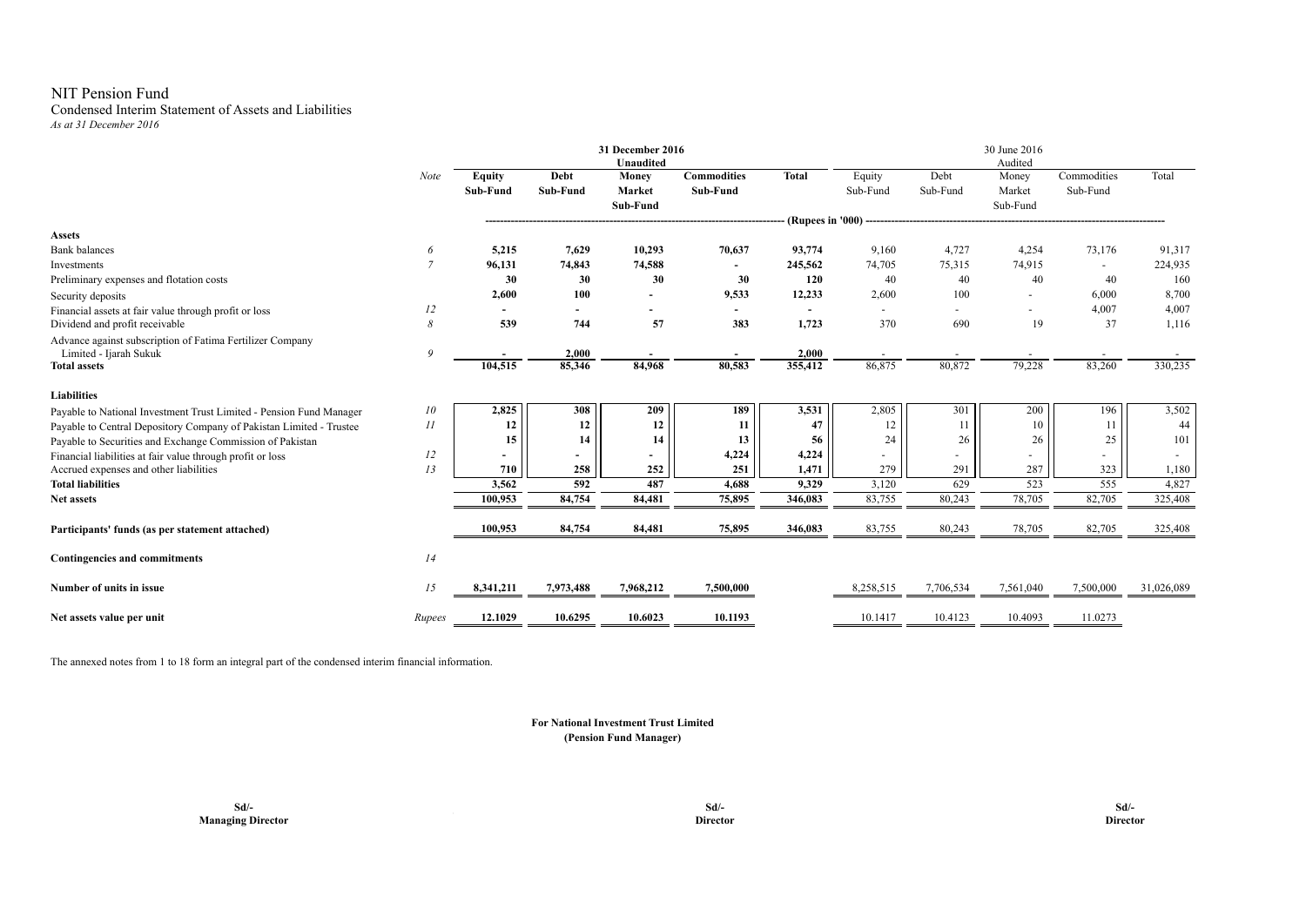#### NIT Pension Fund Condensed Interim Statement of Assets and Liabilities *As at 31 December 2016*

|                                                                                     |                |                           |                          | 31 December 2016<br><b>Unaudited</b> |                                |                  |                          |                  | 30 June 2016<br>Audited     |                         |            |
|-------------------------------------------------------------------------------------|----------------|---------------------------|--------------------------|--------------------------------------|--------------------------------|------------------|--------------------------|------------------|-----------------------------|-------------------------|------------|
|                                                                                     | Note           | <b>Equity</b><br>Sub-Fund | Debt<br>Sub-Fund         | Money<br><b>Market</b><br>Sub-Fund   | <b>Commodities</b><br>Sub-Fund | <b>Total</b>     | Equity<br>Sub-Fund       | Debt<br>Sub-Fund | Money<br>Market<br>Sub-Fund | Commodities<br>Sub-Fund | Total      |
|                                                                                     |                |                           |                          |                                      |                                | (Rupees in '000) |                          |                  |                             |                         |            |
| <b>Assets</b>                                                                       |                |                           |                          |                                      |                                |                  |                          |                  |                             |                         |            |
| <b>Bank</b> balances                                                                | 6              | 5,215                     | 7,629                    | 10,293                               | 70,637                         | 93,774           | 9,160                    | 4,727            | 4,254                       | 73,176                  | 91,317     |
| Investments                                                                         | $\overline{7}$ | 96,131                    | 74,843                   | 74,588                               |                                | 245,562          | 74,705                   | 75,315           | 74,915                      |                         | 224,935    |
| Preliminary expenses and flotation costs                                            |                | 30                        | 30                       | 30                                   | 30                             | 120              | 40                       | 40               | 40                          | 40                      | 160        |
| Security deposits                                                                   |                | 2,600                     | 100                      | $\blacksquare$                       | 9,533                          | 12,233           | 2,600                    | 100              |                             | 6,000                   | 8,700      |
| Financial assets at fair value through profit or loss                               | 12             |                           |                          |                                      |                                |                  | $\sim$                   | $\sim$           | $\sim$                      | 4,007                   | 4,007      |
| Dividend and profit receivable                                                      | 8              | 539                       | 744                      | 57                                   | 383                            | 1,723            | 370                      | 690              | 19                          | 37                      | 1,116      |
| Advance against subscription of Fatima Fertilizer Company<br>Limited - Ijarah Sukuk | 9              |                           | 2,000                    |                                      |                                | 2,000            |                          |                  |                             |                         |            |
| <b>Total assets</b>                                                                 |                | 104,515                   | 85,346                   | 84,968                               | 80,583                         | 355,412          | 86,875                   | 80,872           | 79,228                      | 83,260                  | 330,235    |
| <b>Liabilities</b>                                                                  |                |                           |                          |                                      |                                |                  |                          |                  |                             |                         |            |
| Payable to National Investment Trust Limited - Pension Fund Manager                 | 10             | 2,825                     | 308                      | 209                                  | 189                            | 3,531            | 2,805                    | 301              | 200                         | 196                     | 3,502      |
| Payable to Central Depository Company of Pakistan Limited - Trustee                 | $_{II}$        | 12                        | 12                       | 12                                   | 11                             | 47               | 12                       | 11               | 10                          | 11                      | 44         |
| Payable to Securities and Exchange Commission of Pakistan                           |                | 15                        | 14                       | 14                                   | 13                             | 56               | 24                       | 26               | 26                          | 25                      | 101        |
| Financial liabilities at fair value through profit or loss                          | 12             |                           | $\overline{\phantom{a}}$ |                                      | 4,224                          | 4,224            | $\overline{\phantom{a}}$ |                  |                             |                         |            |
| Accrued expenses and other liabilities                                              | 13             | 710                       | 258                      | 252                                  | 251                            | 1,471            | 279                      | 291              | 287                         | 323                     | 1,180      |
| <b>Total liabilities</b>                                                            |                | 3,562                     | 592                      | 487                                  | 4,688                          | 9,329            | 3,120                    | 629              | 523                         | 555                     | 4,827      |
| Net assets                                                                          |                | 100,953                   | 84,754                   | 84,481                               | 75,895                         | 346,083          | 83,755                   | 80,243           | 78,705                      | 82,705                  | 325,408    |
| Participants' funds (as per statement attached)                                     |                | 100,953                   | 84,754                   | 84,481                               | 75,895                         | 346,083          | 83,755                   | 80,243           | 78,705                      | 82,705                  | 325,408    |
| Contingencies and commitments                                                       | 14             |                           |                          |                                      |                                |                  |                          |                  |                             |                         |            |
| Number of units in issue                                                            | 15             | 8,341,211                 | 7,973,488                | 7,968,212                            | 7,500,000                      |                  | 8,258,515                | 7,706,534        | 7,561,040                   | 7,500,000               | 31,026,089 |
| Net assets value per unit                                                           | Rupees         | 12.1029                   | 10.6295                  | 10.6023                              | 10.1193                        |                  | 10.1417                  | 10.4123          | 10.4093                     | 11.0273                 |            |

The annexed notes from 1 to 18 form an integral part of the condensed interim financial information.

#### **For National Investment Trust Limited (Pension Fund Manager)**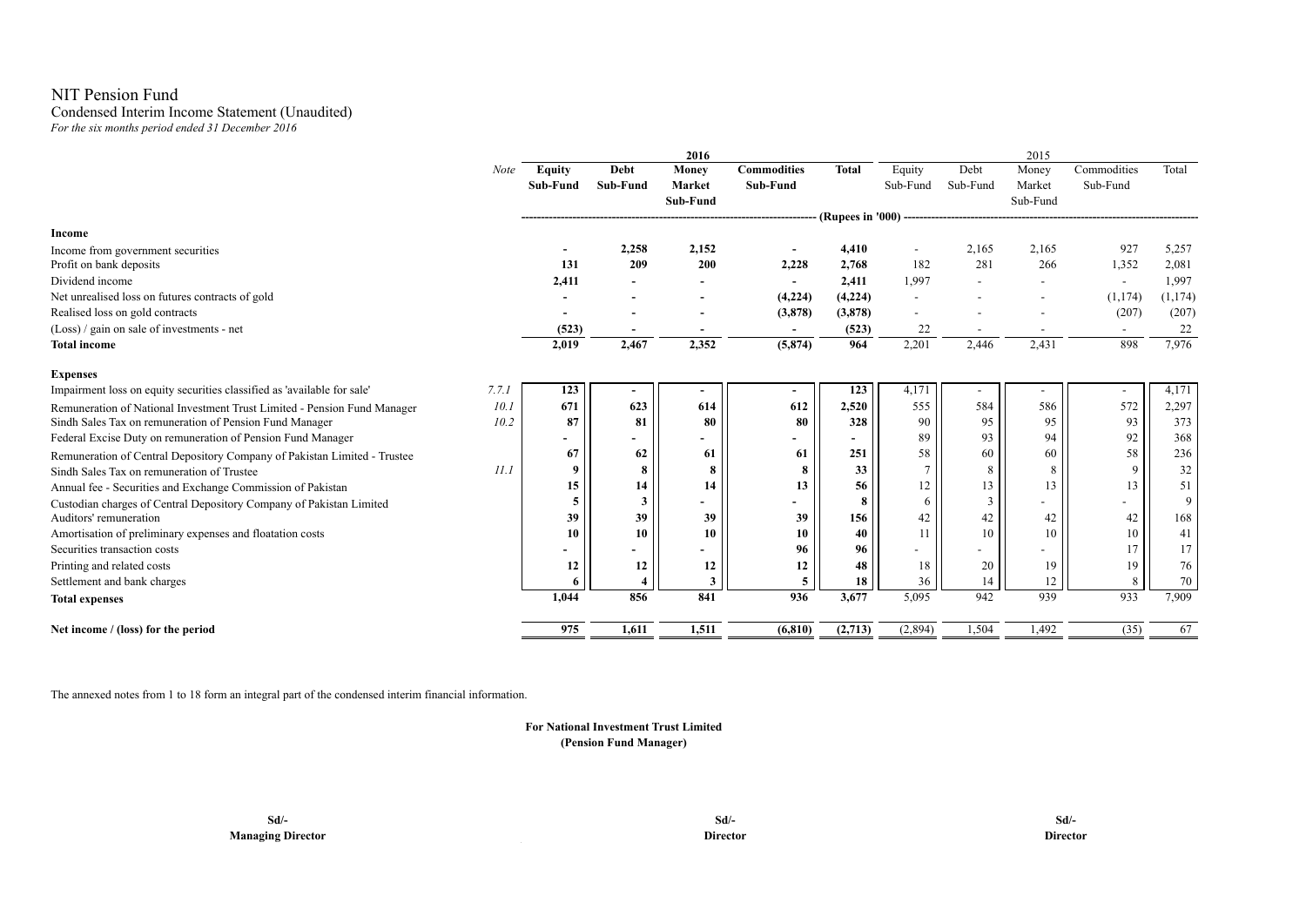# NIT Pension Fund

# Condensed Interim Income Statement (Unaudited)

*For the six months period ended 31 December 2016*

|                                                                                  |               |          | 2016     |                          |              |                          |                          | 2015                     |                          |          |
|----------------------------------------------------------------------------------|---------------|----------|----------|--------------------------|--------------|--------------------------|--------------------------|--------------------------|--------------------------|----------|
| Note                                                                             | <b>Equity</b> | Debt     | Money    | <b>Commodities</b>       | <b>Total</b> | Equity                   | Debt                     | Money                    | Commodities              | Total    |
|                                                                                  | Sub-Fund      | Sub-Fund | Market   | Sub-Fund                 |              | Sub-Fund                 | Sub-Fund                 | Market                   | Sub-Fund                 |          |
|                                                                                  |               |          | Sub-Fund |                          |              |                          |                          | Sub-Fund                 |                          |          |
|                                                                                  |               |          |          |                          |              |                          |                          |                          |                          |          |
| Income                                                                           |               |          |          |                          |              |                          |                          |                          |                          |          |
| Income from government securities                                                |               | 2,258    | 2,152    |                          | 4,410        |                          | 2,165                    | 2,165                    | 927                      | 5,257    |
| Profit on bank deposits                                                          | 131           | 209      | 200      | 2,228                    | 2,768        | 182                      | 281                      | 266                      | 1,352                    | 2,081    |
| Dividend income                                                                  | 2,411         |          |          | $\overline{\phantom{a}}$ | 2.411        | 1.997                    | $\overline{\phantom{a}}$ | $\overline{\phantom{a}}$ | $\overline{\phantom{a}}$ | 1,997    |
| Net unrealised loss on futures contracts of gold                                 |               |          |          | (4,224)                  | (4,224)      | $\overline{\phantom{a}}$ |                          |                          | (1, 174)                 | (1, 174) |
| Realised loss on gold contracts                                                  |               |          |          | (3,878)                  | (3,878)      | $\overline{\phantom{a}}$ |                          |                          | (207)                    | (207)    |
| (Loss) / gain on sale of investments - net                                       | (523)         |          |          | $\sim$                   | (523)        | 22                       |                          |                          | $\overline{\phantom{a}}$ | 22       |
| <b>Total income</b>                                                              | 2,019         | 2,467    | 2,352    | (5, 874)                 | 964          | 2,201                    | 2,446                    | 2,431                    | 898                      | 7,976    |
| <b>Expenses</b>                                                                  |               |          |          |                          |              |                          |                          |                          |                          |          |
| Impairment loss on equity securities classified as 'available for sale'<br>7.7.1 | 123           |          |          |                          | 123          | 4,171                    |                          |                          | $\overline{\phantom{a}}$ | 4,171    |
| 10.1<br>Remuneration of National Investment Trust Limited - Pension Fund Manager | 671           | 623      | 614      | 612                      | 2,520        | 555                      | 584                      | 586                      | 572                      | 2,297    |
| Sindh Sales Tax on remuneration of Pension Fund Manager<br>10.2                  | 87            | 81       | 80       | 80                       | 328          | 90                       | 95                       | 95                       | 93                       | 373      |
| Federal Excise Duty on remuneration of Pension Fund Manager                      |               |          |          |                          |              | 89                       | 93                       | 94                       | 92                       | 368      |
| Remuneration of Central Depository Company of Pakistan Limited - Trustee         | 67            | 62       | 61       | 61                       | 251          | 58                       | 60                       | 60                       | 58                       | 236      |
| II.I<br>Sindh Sales Tax on remuneration of Trustee                               | $\mathbf Q$   | 8        | 8        | 8                        | 33           |                          | 8                        | 8                        | $\mathbf Q$              | 32       |
| Annual fee - Securities and Exchange Commission of Pakistan                      | 15            | 14       | 14       | 13                       | 56           | 12                       | 13                       | 13                       | 13                       | 51       |
| Custodian charges of Central Depository Company of Pakistan Limited              | 5             | 3        |          |                          | 8            | 6                        | $\overline{3}$           |                          |                          | 9        |
| Auditors' remuneration                                                           | 39            | 39       | 39       | 39                       | 156          | 42                       | 42                       | 42                       | 42                       | 168      |
| Amortisation of preliminary expenses and floatation costs                        | 10            | 10       | 10       | 10                       | 40           | 11                       | 10                       | 10                       | 10                       | 41       |
| Securities transaction costs                                                     |               |          |          | 96                       | 96           |                          |                          |                          |                          | 17       |
| Printing and related costs                                                       | 12            | 12       | 12       | 12                       | 48           | 18                       | 20                       | 19                       | 19                       | 76       |
| Settlement and bank charges                                                      |               |          | 3        | 5                        | 18           | 36                       | 14                       | 12                       | 8                        | 70       |
| <b>Total expenses</b>                                                            | 1.044         | 856      | 841      | 936                      | 3.677        | 5,095                    | 942                      | 939                      | 933                      | 7,909    |
| Net income / (loss) for the period                                               | 975           | 1,611    | 1,511    | (6, 810)                 | (2,713)      | (2,894)                  | 1,504                    | 1,492                    | (35)                     | 67       |

The annexed notes from 1 to 18 form an integral part of the condensed interim financial information.

### **For National Investment Trust Limited (Pension Fund Manager)**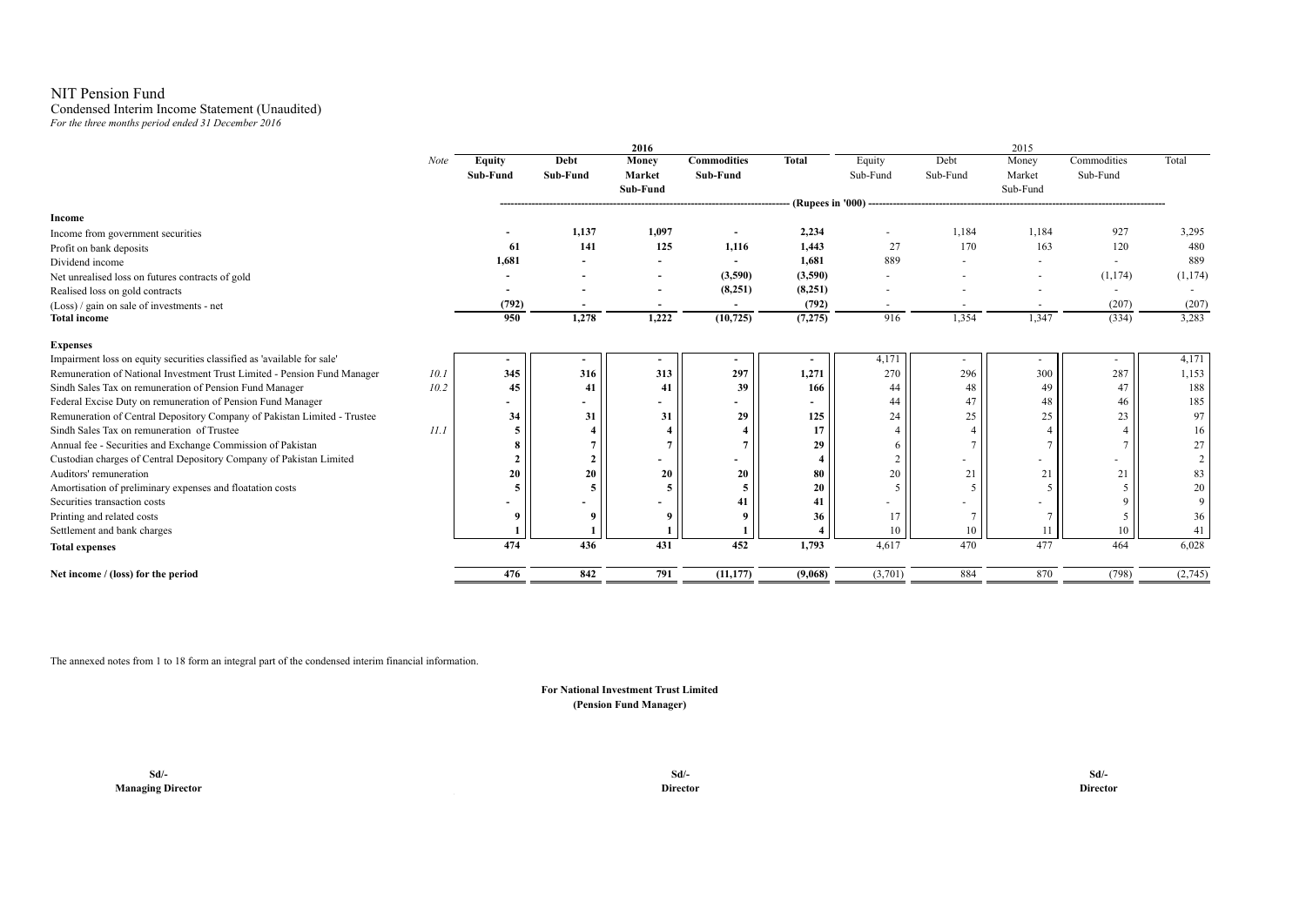# NIT Pension Fund

#### Condensed Interim Income Statement (Unaudited) *For the three months period ended 31 December 2016*

|                                                                                  |               |                | 2016                     |                    |              |                          |          | 2015     |             |          |
|----------------------------------------------------------------------------------|---------------|----------------|--------------------------|--------------------|--------------|--------------------------|----------|----------|-------------|----------|
| Note                                                                             | <b>Equity</b> | Debt           | Money                    | <b>Commodities</b> | <b>Total</b> | Equity                   | Debt     | Money    | Commodities | Total    |
|                                                                                  | Sub-Fund      | Sub-Fund       | <b>Market</b>            | Sub-Fund           |              | Sub-Fund                 | Sub-Fund | Market   | Sub-Fund    |          |
|                                                                                  |               |                | Sub-Fund                 |                    |              |                          |          | Sub-Fund |             |          |
|                                                                                  |               |                |                          |                    |              |                          |          |          |             |          |
| Income                                                                           |               |                |                          |                    |              |                          |          |          |             |          |
| Income from government securities                                                |               | 1,137          | 1,097                    |                    | 2,234        | $\overline{\phantom{a}}$ | 1,184    | 1,184    | 927         | 3,295    |
| Profit on bank deposits                                                          | 61            | 141            | 125                      | 1,116              | 1,443        | 27                       | 170      | 163      | 120         | 480      |
| Dividend income                                                                  | 1,681         |                | $\overline{\phantom{a}}$ |                    | 1,681        | 889                      |          |          | $\sim$      | 889      |
| Net unrealised loss on futures contracts of gold                                 |               |                | ٠                        | (3,590)            | (3,590)      |                          |          | ٠        | (1,174)     | (1, 174) |
| Realised loss on gold contracts                                                  |               |                | $\overline{\phantom{a}}$ | (8,251)            | (8,251)      | $\overline{a}$           |          | ٠        | $\sim$      |          |
| (Loss) / gain on sale of investments - net                                       | (792)         |                |                          |                    | (792)        | $\sim$                   |          | ٠        | (207)       | (207)    |
| <b>Total income</b>                                                              | 950           | 1,278          | 1,222                    | (10, 725)          | (7, 275)     | 916                      | 1,354    | 1,347    | (334)       | 3,283    |
| <b>Expenses</b>                                                                  |               |                |                          |                    |              |                          |          |          |             |          |
| Impairment loss on equity securities classified as 'available for sale'          |               |                |                          | ۰                  |              | 4,171                    |          | ۰        |             | 4,171    |
| Remuneration of National Investment Trust Limited - Pension Fund Manager<br>10.1 | 345           | 316            | 313                      | 297                | 1,271        | 270                      | 296      | 300      | 287         | 1,153    |
| 10.2<br>Sindh Sales Tax on remuneration of Pension Fund Manager                  | 45            | 41             | 41                       | 39                 | 166          | 44                       | 48       | 49       | 47          | 188      |
| Federal Excise Duty on remuneration of Pension Fund Manager                      | ۰             |                |                          |                    |              | 44                       | 47       | 48       | 46          | 185      |
| Remuneration of Central Depository Company of Pakistan Limited - Trustee         | 34            | 31             | 31                       | 29                 | 125          | 24                       | 25       | 25       | 23          | 97       |
| Sindh Sales Tax on remuneration of Trustee<br>11.1                               | 5             |                |                          |                    | 17           |                          |          |          |             | 16       |
| Annual fee - Securities and Exchange Commission of Pakistan                      | 8             |                |                          |                    | 29           |                          |          |          |             | 27       |
| Custodian charges of Central Depository Company of Pakistan Limited              | $\mathbf{2}$  | $\overline{2}$ |                          |                    |              |                          |          | ٠        |             | 2        |
| Auditors' remuneration                                                           | 20            | 20             | 20                       | 20                 | 80           | 20                       | 21       | 21       | 21          | 83       |
| Amortisation of preliminary expenses and floatation costs                        | 5             |                | 5                        |                    | 20           |                          |          |          |             | 20       |
| Securities transaction costs                                                     |               |                |                          | 41                 | 41           | ٠                        |          |          |             | 9        |
| Printing and related costs                                                       | 9             |                |                          |                    | 36           | 17                       |          | $\tau$   |             | 36       |
| Settlement and bank charges                                                      |               |                |                          |                    |              | 10                       | 10       | 11       |             | 41       |
| <b>Total expenses</b>                                                            | 474           | 436            | 431                      | 452                | 1,793        | 4,617                    | 470      | 477      | 464         | 6,028    |
| Net income / (loss) for the period                                               | 476           | 842            | 791                      | (11, 177)          | (9,068)      | (3,701)                  | 884      | 870      | (798)       | (2,745)  |

The annexed notes from 1 to 18 form an integral part of the condensed interim financial information.

**(Pension Fund Manager) For National Investment Trust Limited**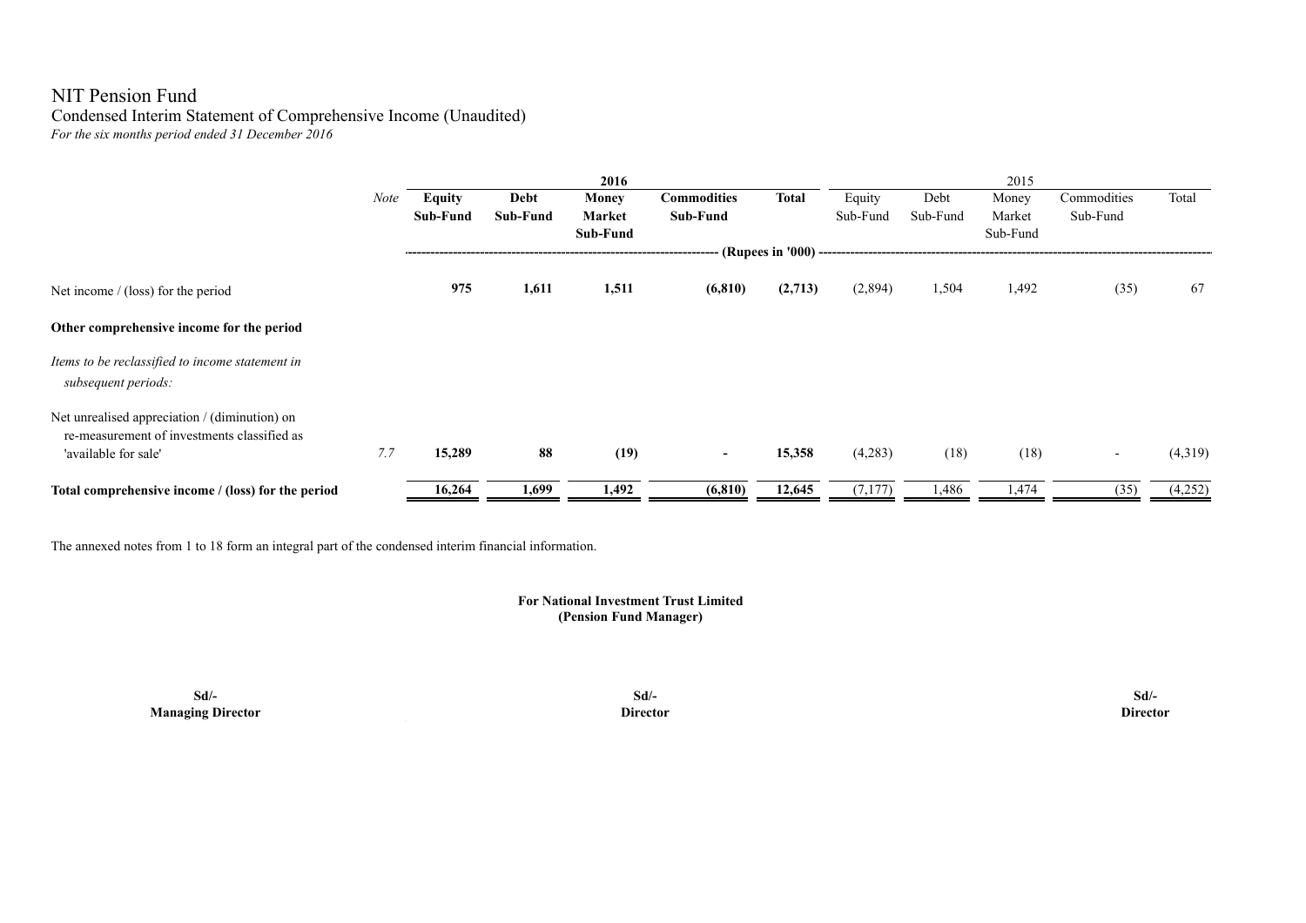## NIT Pension Fund Condensed Interim Statement of Comprehensive Income (Unaudited) *For the six months period ended 31 December 2016*

|                                                                                                                      |             |                 |          | 2016         |                    |                       |          |          | 2015     |             |         |
|----------------------------------------------------------------------------------------------------------------------|-------------|-----------------|----------|--------------|--------------------|-----------------------|----------|----------|----------|-------------|---------|
|                                                                                                                      | <b>Note</b> | <b>Equity</b>   | Debt     | <b>Money</b> | <b>Commodities</b> | <b>Total</b>          | Equity   | Debt     | Money    | Commodities | Total   |
|                                                                                                                      |             | <b>Sub-Fund</b> | Sub-Fund | Market       | Sub-Fund           |                       | Sub-Fund | Sub-Fund | Market   | Sub-Fund    |         |
|                                                                                                                      |             |                 |          | Sub-Fund     |                    |                       |          |          | Sub-Fund |             |         |
|                                                                                                                      |             |                 |          |              |                    | (Rupees in '000) ---- |          |          |          |             |         |
| Net income $/$ (loss) for the period                                                                                 |             | 975             | 1,611    | 1,511        | (6, 810)           | (2,713)               | (2,894)  | 1,504    | 1,492    | (35)        | 67      |
| Other comprehensive income for the period                                                                            |             |                 |          |              |                    |                       |          |          |          |             |         |
| Items to be reclassified to income statement in<br>subsequent periods:                                               |             |                 |          |              |                    |                       |          |          |          |             |         |
| Net unrealised appreciation / (diminution) on<br>re-measurement of investments classified as<br>'available for sale' | 7.7         | 15,289          | 88       | (19)         | $\blacksquare$     | 15,358                | (4,283)  | (18)     | (18)     | $\sim$      | (4,319) |
| Total comprehensive income / (loss) for the period                                                                   |             | 16,264          | 1,699    | 1,492        | (6, 810)           | 12,645                | (7,177)  | 1,486    | 1,474    | (35)        | (4,252) |

The annexed notes from 1 to 18 form an integral part of the condensed interim financial information.

### **(Pension Fund Manager) For National Investment Trust Limited**

**Sd/- Sd/- Sd/- Managing Director Director Director**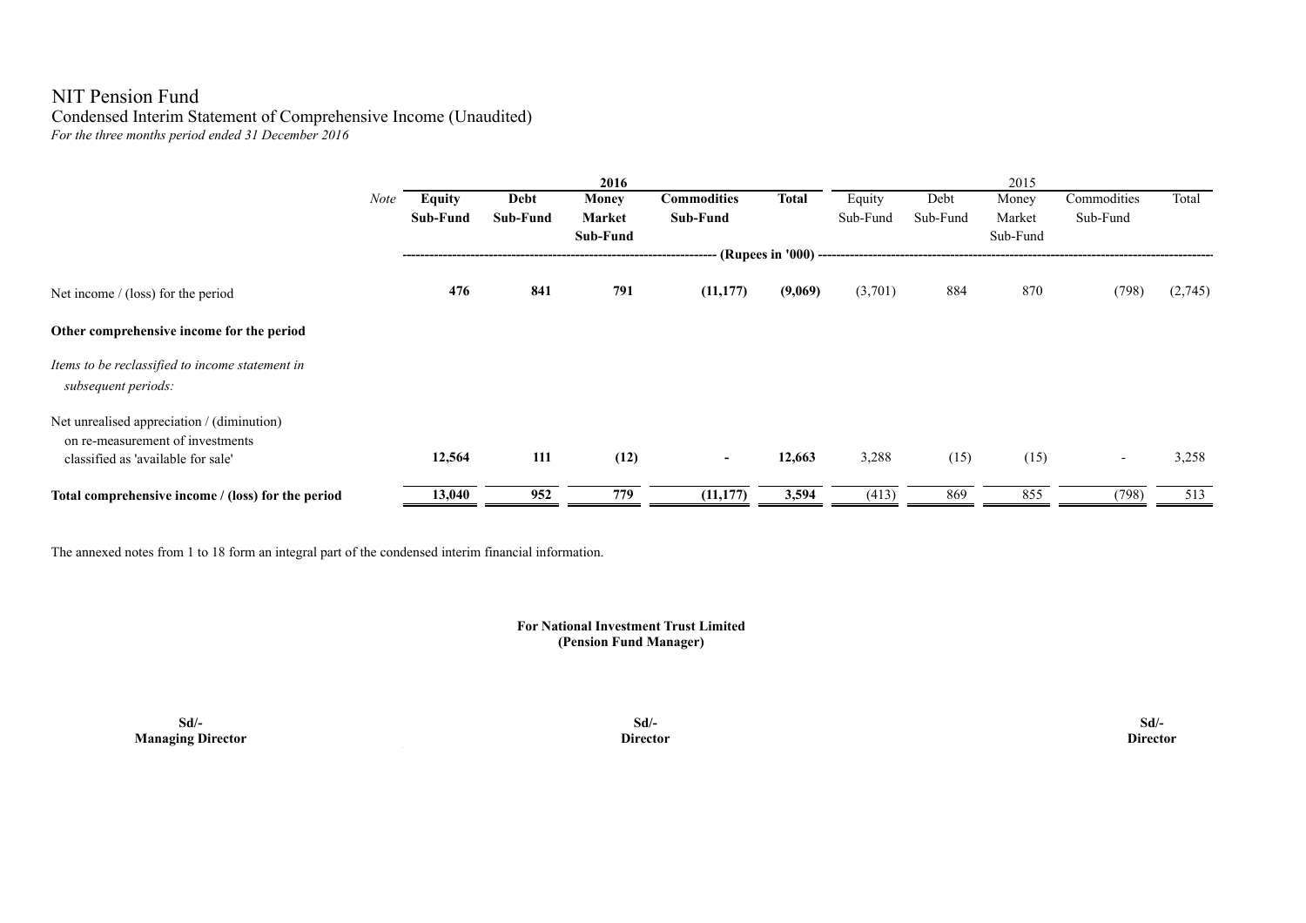# NIT Pension Fund Condensed Interim Statement of Comprehensive Income (Unaudited) *For the three months period ended 31 December 2016*

|                                                                                |      |               |          | 2016         |                    |              |          |          | 2015     |                          |         |
|--------------------------------------------------------------------------------|------|---------------|----------|--------------|--------------------|--------------|----------|----------|----------|--------------------------|---------|
|                                                                                | Note | <b>Equity</b> | Debt     | <b>Money</b> | <b>Commodities</b> | <b>Total</b> | Equity   | Debt     | Money    | Commodities              | Total   |
|                                                                                |      | Sub-Fund      | Sub-Fund | Market       | Sub-Fund           |              | Sub-Fund | Sub-Fund | Market   | Sub-Fund                 |         |
|                                                                                |      |               |          | Sub-Fund     |                    |              |          |          | Sub-Fund |                          |         |
|                                                                                |      |               |          |              |                    |              |          |          |          |                          |         |
| Net income / (loss) for the period                                             |      | 476           | 841      | 791          | (11, 177)          | (9,069)      | (3,701)  | 884      | 870      | (798)                    | (2,745) |
| Other comprehensive income for the period                                      |      |               |          |              |                    |              |          |          |          |                          |         |
| Items to be reclassified to income statement in<br>subsequent periods:         |      |               |          |              |                    |              |          |          |          |                          |         |
| Net unrealised appreciation / (diminution)<br>on re-measurement of investments |      |               |          |              |                    |              |          |          |          |                          |         |
| classified as 'available for sale'                                             |      | 12,564        | 111      | (12)         | $\sim$             | 12,663       | 3,288    | (15)     | (15)     | $\overline{\phantom{a}}$ | 3,258   |
| Total comprehensive income / (loss) for the period                             |      | 13,040        | 952      | 779          | (11, 177)          | 3,594        | (413)    | 869      | 855      | (798)                    | 513     |

The annexed notes from 1 to 18 form an integral part of the condensed interim financial information.

### **For National Investment Trust Limited (Pension Fund Manager)**

**Sd/- Sd/- Sd/- Managing Director Director Director**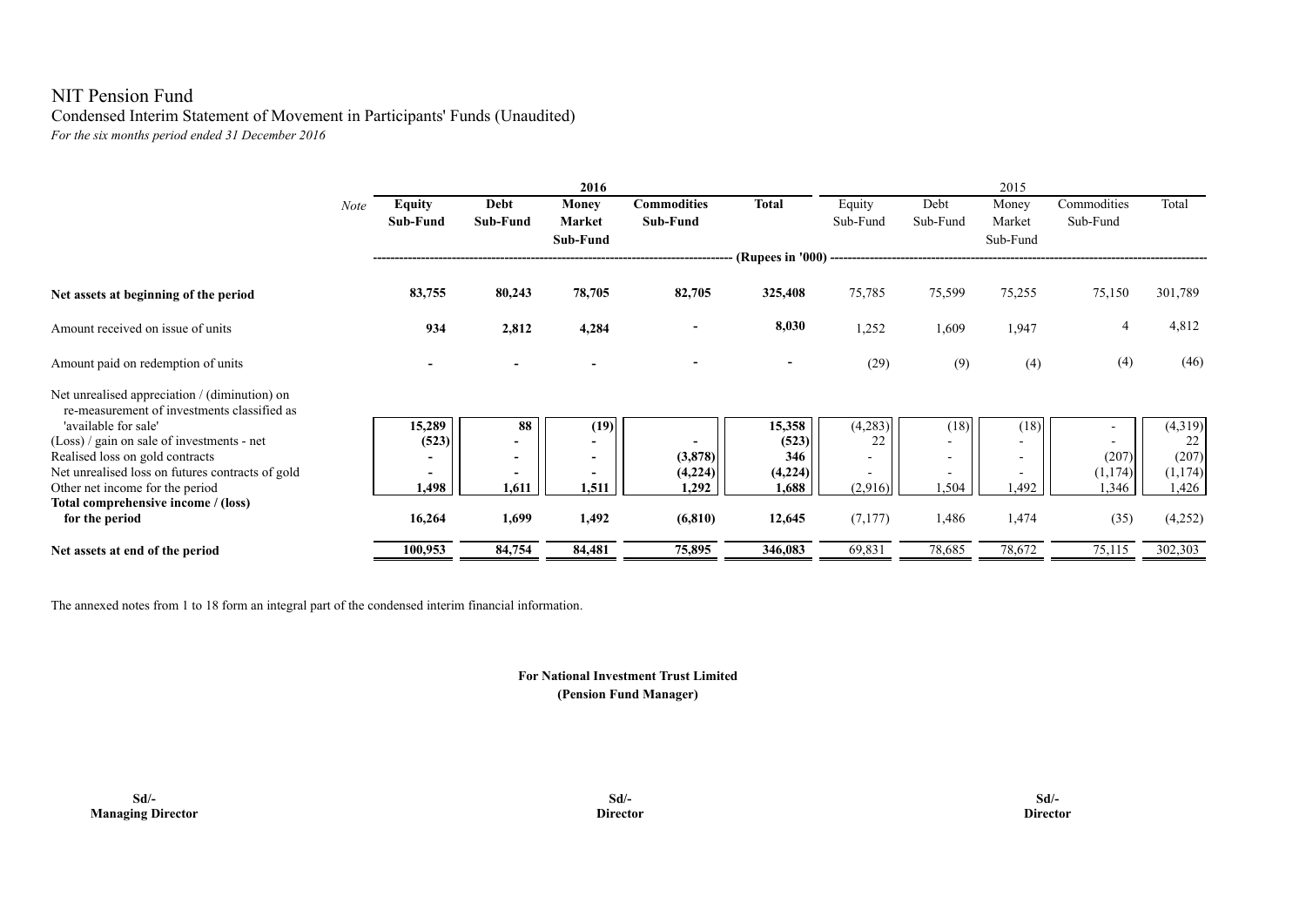# NIT Pension Fund Condensed Interim Statement of Movement in Participants' Funds (Unaudited) *For the six months period ended 31 December 2016*

|                                                                                              |      |               |                          | 2016                     |                    |                          |          |                          | 2015                     |                |         |
|----------------------------------------------------------------------------------------------|------|---------------|--------------------------|--------------------------|--------------------|--------------------------|----------|--------------------------|--------------------------|----------------|---------|
|                                                                                              | Note | <b>Equity</b> | Debt                     | Money                    | <b>Commodities</b> | <b>Total</b>             | Equity   | Debt                     | Money                    | Commodities    | Total   |
|                                                                                              |      | Sub-Fund      | <b>Sub-Fund</b>          | Market                   | Sub-Fund           |                          | Sub-Fund | Sub-Fund                 | Market                   | Sub-Fund       |         |
|                                                                                              |      |               |                          | Sub-Fund                 |                    |                          |          |                          | Sub-Fund                 |                |         |
|                                                                                              |      |               |                          |                          |                    | (Rupees in '000) ---     |          |                          |                          |                |         |
| Net assets at beginning of the period                                                        |      | 83,755        | 80,243                   | 78,705                   | 82,705             | 325,408                  | 75,785   | 75,599                   | 75,255                   | 75,150         | 301,789 |
| Amount received on issue of units                                                            |      | 934           | 2,812                    | 4,284                    |                    | 8,030                    | 1,252    | 1,609                    | 1,947                    | $\overline{4}$ | 4,812   |
| Amount paid on redemption of units                                                           |      |               |                          |                          |                    | $\overline{\phantom{a}}$ | (29)     | (9)                      | (4)                      | (4)            | (46)    |
| Net unrealised appreciation / (diminution) on<br>re-measurement of investments classified as |      |               |                          |                          |                    |                          |          |                          |                          |                |         |
| 'available for sale'                                                                         |      | 15,289        | 88                       | (19)                     |                    | 15,358                   | (4,283)  | (18)                     | (18)                     |                | (4,319) |
| $(Loss)$ / gain on sale of investments - net                                                 |      | (523)         |                          | $\overline{\phantom{0}}$ |                    | (523)                    | 22       |                          |                          |                | 22      |
| Realised loss on gold contracts                                                              |      |               | $\overline{\phantom{a}}$ | $\overline{\phantom{a}}$ | (3,878)            | 346                      |          | $\overline{\phantom{0}}$ | $\overline{\phantom{a}}$ | (207)          | (207)   |
| Net unrealised loss on futures contracts of gold                                             |      |               | $\qquad \qquad$          | $\overline{\phantom{a}}$ | (4,224)            | (4,224)                  |          | $\overline{\phantom{a}}$ |                          | (1,174)        | (1,174) |
| Other net income for the period                                                              |      | 1,498         | 1.611                    | 1,511                    | 1,292              | 1,688                    | (2,916)  | 1,504                    | 1,492                    | 1,346          | 1,426   |
| Total comprehensive income / (loss)                                                          |      |               |                          |                          |                    |                          |          |                          |                          |                |         |
| for the period                                                                               |      | 16,264        | 1,699                    | 1,492                    | (6, 810)           | 12,645                   | (7, 177) | 1,486                    | 1,474                    | (35)           | (4,252) |
| Net assets at end of the period                                                              |      | 100,953       | 84,754                   | 84,481                   | 75,895             | 346,083                  | 69,831   | 78,685                   | 78,672                   | 75,115         | 302,303 |

The annexed notes from 1 to 18 form an integral part of the condensed interim financial information.

### **(Pension Fund Manager) For National Investment Trust Limited**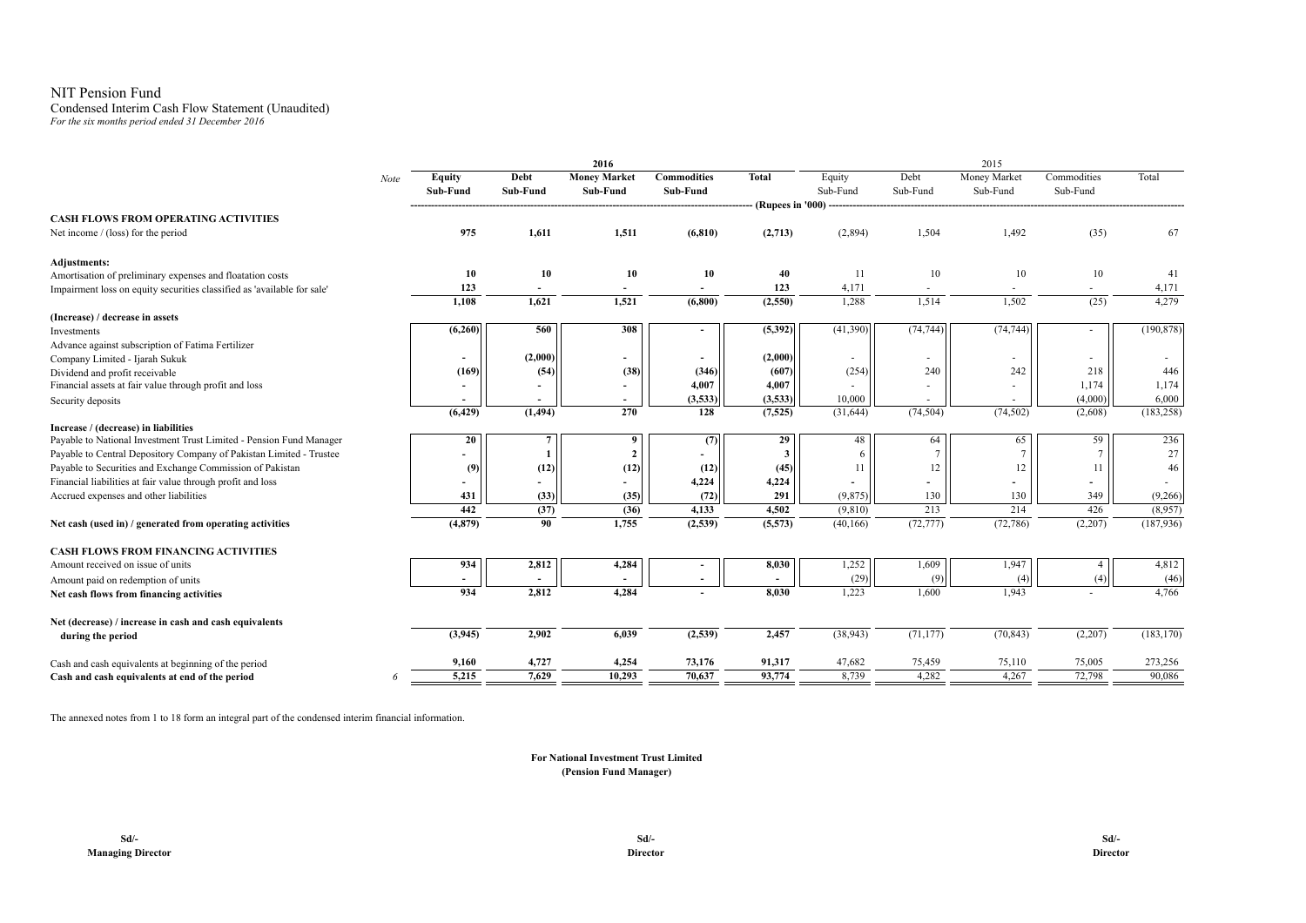### NIT Pension Fund

# Condensed Interim Cash Flow Statement (Unaudited)

*For the six months period ended 31 December 2016*

| Debt<br><b>Money Market</b><br><b>Commodities</b><br>Debt<br>Money Market<br>Commodities<br>Total<br><b>Total</b><br><b>Equity</b><br>Equity<br>Note<br>Sub-Fund<br>Sub-Fund<br>Sub-Fund<br>Sub-Fund<br>Sub-Fund<br>Sub-Fund<br>Sub-Fund<br>Sub-Fund<br>(Rupees in '000) ---<br><b>CASH FLOWS FROM OPERATING ACTIVITIES</b><br>975<br>1,611<br>1,504<br>1,492<br>(35)<br>67<br>1,511<br>(6, 810)<br>(2,713)<br>(2,894)<br>Net income / (loss) for the period<br>10<br>10<br>10<br>10<br>40<br>11<br>10<br>10<br>10<br>41<br>123<br>123<br>4,171<br>4,171<br>÷.<br>$\overline{a}$<br>$\sim$<br>4,279<br>1,108<br>1,621<br>1,521<br>(2,550)<br>1,514<br>1,502<br>(6,800)<br>1,288<br>(25)<br>(6,260)<br>560<br>308<br>(5, 392)<br>(41, 390)<br>(74, 744)<br>(74, 744)<br>(190, 878)<br>$\sim$<br>Advance against subscription of Fatima Fertilizer<br>(2,000)<br>(2,000)<br>Company Limited - Ijarah Sukuk<br>$\overline{\phantom{a}}$<br>$\sim$<br>۰<br>٠<br>٠<br>(38)<br>242<br>218<br>(169)<br>(346)<br>(607)<br>(254)<br>240<br>446<br>(54)<br>Dividend and profit receivable<br>4,007<br>Financial assets at fair value through profit and loss<br>4,007<br>1,174<br>1,174<br>$\blacksquare$<br>6,000<br>(3,533)<br>(3,533)<br>10,000<br>(4,000)<br>Security deposits<br>(6, 429)<br>(1, 494)<br>270<br>(74, 504)<br>(74, 502)<br>(183, 258)<br>128<br>(7, 525)<br>(2,608)<br>(31, 644)<br>Increase / (decrease) in liabilities<br>Payable to National Investment Trust Limited - Pension Fund Manager<br>64<br>236<br>20<br>9<br>29<br>48<br>65<br>59<br>(7)<br>27<br>Payable to Central Depository Company of Pakistan Limited - Trustee<br>$\overline{7}$<br>3<br>12<br>Payable to Securities and Exchange Commission of Pakistan<br>(12)<br>46<br>(12)<br>(12)<br>(45)<br>11<br>12<br>11<br>(9)<br>4,224<br>Financial liabilities at fair value through profit and loss<br>4,224<br>431<br>(33)<br>(35)<br>(72)<br>291<br>(9, 875)<br>130<br>349<br>(9,266)<br>Accrued expenses and other liabilities<br>130<br>442<br>214<br>(37)<br>4,133<br>4,502<br>213<br>426<br>(8,957)<br>(36)<br>(9,810)<br>(72, 777)<br>(72, 786)<br>(187, 936)<br>(4,879)<br>90<br>1,755<br>(2, 539)<br>(2,207)<br>(5,573)<br>(40, 166)<br>2,812<br>1,252<br>1,947<br>934<br>4,284<br>8,030<br>1,609<br>4,812<br>(29)<br>(46)<br>(9)<br>(4)<br>(4)<br>934<br>2,812<br>4,284<br>8,030<br>1,223<br>1,943<br>4,766<br>1,600<br>Net (decrease) / increase in cash and cash equivalents<br>(3,945)<br>2,902<br>(2,539)<br>(38, 943)<br>(71, 177)<br>(70, 843)<br>(2,207)<br>6,039<br>2,457<br>(183, 170)<br>during the period<br>4,727<br>4,254<br>73,176<br>75,110<br>273,256<br>9,160<br>91,317<br>47,682<br>75,459<br>75,005<br>5,215<br>4,267<br>72,798<br>7,629<br>10,293<br>93,774<br>8,739<br>4,282<br>90,086<br>70,637<br>6 |                                                                         |  | 2016 |  |  | 2015 |  |
|-----------------------------------------------------------------------------------------------------------------------------------------------------------------------------------------------------------------------------------------------------------------------------------------------------------------------------------------------------------------------------------------------------------------------------------------------------------------------------------------------------------------------------------------------------------------------------------------------------------------------------------------------------------------------------------------------------------------------------------------------------------------------------------------------------------------------------------------------------------------------------------------------------------------------------------------------------------------------------------------------------------------------------------------------------------------------------------------------------------------------------------------------------------------------------------------------------------------------------------------------------------------------------------------------------------------------------------------------------------------------------------------------------------------------------------------------------------------------------------------------------------------------------------------------------------------------------------------------------------------------------------------------------------------------------------------------------------------------------------------------------------------------------------------------------------------------------------------------------------------------------------------------------------------------------------------------------------------------------------------------------------------------------------------------------------------------------------------------------------------------------------------------------------------------------------------------------------------------------------------------------------------------------------------------------------------------------------------------------------------------------------------------------------------------------------------------------------------------------------------------------------------------------------------------------------------------------------------------------------------------------------------------------------------------------------------------------------------------------------------------------------------------------------------------------------------|-------------------------------------------------------------------------|--|------|--|--|------|--|
|                                                                                                                                                                                                                                                                                                                                                                                                                                                                                                                                                                                                                                                                                                                                                                                                                                                                                                                                                                                                                                                                                                                                                                                                                                                                                                                                                                                                                                                                                                                                                                                                                                                                                                                                                                                                                                                                                                                                                                                                                                                                                                                                                                                                                                                                                                                                                                                                                                                                                                                                                                                                                                                                                                                                                                                                                 |                                                                         |  |      |  |  |      |  |
|                                                                                                                                                                                                                                                                                                                                                                                                                                                                                                                                                                                                                                                                                                                                                                                                                                                                                                                                                                                                                                                                                                                                                                                                                                                                                                                                                                                                                                                                                                                                                                                                                                                                                                                                                                                                                                                                                                                                                                                                                                                                                                                                                                                                                                                                                                                                                                                                                                                                                                                                                                                                                                                                                                                                                                                                                 |                                                                         |  |      |  |  |      |  |
|                                                                                                                                                                                                                                                                                                                                                                                                                                                                                                                                                                                                                                                                                                                                                                                                                                                                                                                                                                                                                                                                                                                                                                                                                                                                                                                                                                                                                                                                                                                                                                                                                                                                                                                                                                                                                                                                                                                                                                                                                                                                                                                                                                                                                                                                                                                                                                                                                                                                                                                                                                                                                                                                                                                                                                                                                 |                                                                         |  |      |  |  |      |  |
|                                                                                                                                                                                                                                                                                                                                                                                                                                                                                                                                                                                                                                                                                                                                                                                                                                                                                                                                                                                                                                                                                                                                                                                                                                                                                                                                                                                                                                                                                                                                                                                                                                                                                                                                                                                                                                                                                                                                                                                                                                                                                                                                                                                                                                                                                                                                                                                                                                                                                                                                                                                                                                                                                                                                                                                                                 |                                                                         |  |      |  |  |      |  |
|                                                                                                                                                                                                                                                                                                                                                                                                                                                                                                                                                                                                                                                                                                                                                                                                                                                                                                                                                                                                                                                                                                                                                                                                                                                                                                                                                                                                                                                                                                                                                                                                                                                                                                                                                                                                                                                                                                                                                                                                                                                                                                                                                                                                                                                                                                                                                                                                                                                                                                                                                                                                                                                                                                                                                                                                                 |                                                                         |  |      |  |  |      |  |
|                                                                                                                                                                                                                                                                                                                                                                                                                                                                                                                                                                                                                                                                                                                                                                                                                                                                                                                                                                                                                                                                                                                                                                                                                                                                                                                                                                                                                                                                                                                                                                                                                                                                                                                                                                                                                                                                                                                                                                                                                                                                                                                                                                                                                                                                                                                                                                                                                                                                                                                                                                                                                                                                                                                                                                                                                 | Adjustments:                                                            |  |      |  |  |      |  |
|                                                                                                                                                                                                                                                                                                                                                                                                                                                                                                                                                                                                                                                                                                                                                                                                                                                                                                                                                                                                                                                                                                                                                                                                                                                                                                                                                                                                                                                                                                                                                                                                                                                                                                                                                                                                                                                                                                                                                                                                                                                                                                                                                                                                                                                                                                                                                                                                                                                                                                                                                                                                                                                                                                                                                                                                                 | Amortisation of preliminary expenses and floatation costs               |  |      |  |  |      |  |
|                                                                                                                                                                                                                                                                                                                                                                                                                                                                                                                                                                                                                                                                                                                                                                                                                                                                                                                                                                                                                                                                                                                                                                                                                                                                                                                                                                                                                                                                                                                                                                                                                                                                                                                                                                                                                                                                                                                                                                                                                                                                                                                                                                                                                                                                                                                                                                                                                                                                                                                                                                                                                                                                                                                                                                                                                 | Impairment loss on equity securities classified as 'available for sale' |  |      |  |  |      |  |
|                                                                                                                                                                                                                                                                                                                                                                                                                                                                                                                                                                                                                                                                                                                                                                                                                                                                                                                                                                                                                                                                                                                                                                                                                                                                                                                                                                                                                                                                                                                                                                                                                                                                                                                                                                                                                                                                                                                                                                                                                                                                                                                                                                                                                                                                                                                                                                                                                                                                                                                                                                                                                                                                                                                                                                                                                 |                                                                         |  |      |  |  |      |  |
|                                                                                                                                                                                                                                                                                                                                                                                                                                                                                                                                                                                                                                                                                                                                                                                                                                                                                                                                                                                                                                                                                                                                                                                                                                                                                                                                                                                                                                                                                                                                                                                                                                                                                                                                                                                                                                                                                                                                                                                                                                                                                                                                                                                                                                                                                                                                                                                                                                                                                                                                                                                                                                                                                                                                                                                                                 | (Increase) / decrease in assets                                         |  |      |  |  |      |  |
|                                                                                                                                                                                                                                                                                                                                                                                                                                                                                                                                                                                                                                                                                                                                                                                                                                                                                                                                                                                                                                                                                                                                                                                                                                                                                                                                                                                                                                                                                                                                                                                                                                                                                                                                                                                                                                                                                                                                                                                                                                                                                                                                                                                                                                                                                                                                                                                                                                                                                                                                                                                                                                                                                                                                                                                                                 | Investments                                                             |  |      |  |  |      |  |
|                                                                                                                                                                                                                                                                                                                                                                                                                                                                                                                                                                                                                                                                                                                                                                                                                                                                                                                                                                                                                                                                                                                                                                                                                                                                                                                                                                                                                                                                                                                                                                                                                                                                                                                                                                                                                                                                                                                                                                                                                                                                                                                                                                                                                                                                                                                                                                                                                                                                                                                                                                                                                                                                                                                                                                                                                 |                                                                         |  |      |  |  |      |  |
|                                                                                                                                                                                                                                                                                                                                                                                                                                                                                                                                                                                                                                                                                                                                                                                                                                                                                                                                                                                                                                                                                                                                                                                                                                                                                                                                                                                                                                                                                                                                                                                                                                                                                                                                                                                                                                                                                                                                                                                                                                                                                                                                                                                                                                                                                                                                                                                                                                                                                                                                                                                                                                                                                                                                                                                                                 |                                                                         |  |      |  |  |      |  |
|                                                                                                                                                                                                                                                                                                                                                                                                                                                                                                                                                                                                                                                                                                                                                                                                                                                                                                                                                                                                                                                                                                                                                                                                                                                                                                                                                                                                                                                                                                                                                                                                                                                                                                                                                                                                                                                                                                                                                                                                                                                                                                                                                                                                                                                                                                                                                                                                                                                                                                                                                                                                                                                                                                                                                                                                                 |                                                                         |  |      |  |  |      |  |
|                                                                                                                                                                                                                                                                                                                                                                                                                                                                                                                                                                                                                                                                                                                                                                                                                                                                                                                                                                                                                                                                                                                                                                                                                                                                                                                                                                                                                                                                                                                                                                                                                                                                                                                                                                                                                                                                                                                                                                                                                                                                                                                                                                                                                                                                                                                                                                                                                                                                                                                                                                                                                                                                                                                                                                                                                 |                                                                         |  |      |  |  |      |  |
|                                                                                                                                                                                                                                                                                                                                                                                                                                                                                                                                                                                                                                                                                                                                                                                                                                                                                                                                                                                                                                                                                                                                                                                                                                                                                                                                                                                                                                                                                                                                                                                                                                                                                                                                                                                                                                                                                                                                                                                                                                                                                                                                                                                                                                                                                                                                                                                                                                                                                                                                                                                                                                                                                                                                                                                                                 |                                                                         |  |      |  |  |      |  |
|                                                                                                                                                                                                                                                                                                                                                                                                                                                                                                                                                                                                                                                                                                                                                                                                                                                                                                                                                                                                                                                                                                                                                                                                                                                                                                                                                                                                                                                                                                                                                                                                                                                                                                                                                                                                                                                                                                                                                                                                                                                                                                                                                                                                                                                                                                                                                                                                                                                                                                                                                                                                                                                                                                                                                                                                                 |                                                                         |  |      |  |  |      |  |
|                                                                                                                                                                                                                                                                                                                                                                                                                                                                                                                                                                                                                                                                                                                                                                                                                                                                                                                                                                                                                                                                                                                                                                                                                                                                                                                                                                                                                                                                                                                                                                                                                                                                                                                                                                                                                                                                                                                                                                                                                                                                                                                                                                                                                                                                                                                                                                                                                                                                                                                                                                                                                                                                                                                                                                                                                 |                                                                         |  |      |  |  |      |  |
|                                                                                                                                                                                                                                                                                                                                                                                                                                                                                                                                                                                                                                                                                                                                                                                                                                                                                                                                                                                                                                                                                                                                                                                                                                                                                                                                                                                                                                                                                                                                                                                                                                                                                                                                                                                                                                                                                                                                                                                                                                                                                                                                                                                                                                                                                                                                                                                                                                                                                                                                                                                                                                                                                                                                                                                                                 |                                                                         |  |      |  |  |      |  |
|                                                                                                                                                                                                                                                                                                                                                                                                                                                                                                                                                                                                                                                                                                                                                                                                                                                                                                                                                                                                                                                                                                                                                                                                                                                                                                                                                                                                                                                                                                                                                                                                                                                                                                                                                                                                                                                                                                                                                                                                                                                                                                                                                                                                                                                                                                                                                                                                                                                                                                                                                                                                                                                                                                                                                                                                                 |                                                                         |  |      |  |  |      |  |
|                                                                                                                                                                                                                                                                                                                                                                                                                                                                                                                                                                                                                                                                                                                                                                                                                                                                                                                                                                                                                                                                                                                                                                                                                                                                                                                                                                                                                                                                                                                                                                                                                                                                                                                                                                                                                                                                                                                                                                                                                                                                                                                                                                                                                                                                                                                                                                                                                                                                                                                                                                                                                                                                                                                                                                                                                 |                                                                         |  |      |  |  |      |  |
|                                                                                                                                                                                                                                                                                                                                                                                                                                                                                                                                                                                                                                                                                                                                                                                                                                                                                                                                                                                                                                                                                                                                                                                                                                                                                                                                                                                                                                                                                                                                                                                                                                                                                                                                                                                                                                                                                                                                                                                                                                                                                                                                                                                                                                                                                                                                                                                                                                                                                                                                                                                                                                                                                                                                                                                                                 |                                                                         |  |      |  |  |      |  |
|                                                                                                                                                                                                                                                                                                                                                                                                                                                                                                                                                                                                                                                                                                                                                                                                                                                                                                                                                                                                                                                                                                                                                                                                                                                                                                                                                                                                                                                                                                                                                                                                                                                                                                                                                                                                                                                                                                                                                                                                                                                                                                                                                                                                                                                                                                                                                                                                                                                                                                                                                                                                                                                                                                                                                                                                                 |                                                                         |  |      |  |  |      |  |
|                                                                                                                                                                                                                                                                                                                                                                                                                                                                                                                                                                                                                                                                                                                                                                                                                                                                                                                                                                                                                                                                                                                                                                                                                                                                                                                                                                                                                                                                                                                                                                                                                                                                                                                                                                                                                                                                                                                                                                                                                                                                                                                                                                                                                                                                                                                                                                                                                                                                                                                                                                                                                                                                                                                                                                                                                 | Net cash (used in) / generated from operating activities                |  |      |  |  |      |  |
|                                                                                                                                                                                                                                                                                                                                                                                                                                                                                                                                                                                                                                                                                                                                                                                                                                                                                                                                                                                                                                                                                                                                                                                                                                                                                                                                                                                                                                                                                                                                                                                                                                                                                                                                                                                                                                                                                                                                                                                                                                                                                                                                                                                                                                                                                                                                                                                                                                                                                                                                                                                                                                                                                                                                                                                                                 | <b>CASH FLOWS FROM FINANCING ACTIVITIES</b>                             |  |      |  |  |      |  |
|                                                                                                                                                                                                                                                                                                                                                                                                                                                                                                                                                                                                                                                                                                                                                                                                                                                                                                                                                                                                                                                                                                                                                                                                                                                                                                                                                                                                                                                                                                                                                                                                                                                                                                                                                                                                                                                                                                                                                                                                                                                                                                                                                                                                                                                                                                                                                                                                                                                                                                                                                                                                                                                                                                                                                                                                                 | Amount received on issue of units                                       |  |      |  |  |      |  |
|                                                                                                                                                                                                                                                                                                                                                                                                                                                                                                                                                                                                                                                                                                                                                                                                                                                                                                                                                                                                                                                                                                                                                                                                                                                                                                                                                                                                                                                                                                                                                                                                                                                                                                                                                                                                                                                                                                                                                                                                                                                                                                                                                                                                                                                                                                                                                                                                                                                                                                                                                                                                                                                                                                                                                                                                                 | Amount paid on redemption of units                                      |  |      |  |  |      |  |
|                                                                                                                                                                                                                                                                                                                                                                                                                                                                                                                                                                                                                                                                                                                                                                                                                                                                                                                                                                                                                                                                                                                                                                                                                                                                                                                                                                                                                                                                                                                                                                                                                                                                                                                                                                                                                                                                                                                                                                                                                                                                                                                                                                                                                                                                                                                                                                                                                                                                                                                                                                                                                                                                                                                                                                                                                 | Net cash flows from financing activities                                |  |      |  |  |      |  |
|                                                                                                                                                                                                                                                                                                                                                                                                                                                                                                                                                                                                                                                                                                                                                                                                                                                                                                                                                                                                                                                                                                                                                                                                                                                                                                                                                                                                                                                                                                                                                                                                                                                                                                                                                                                                                                                                                                                                                                                                                                                                                                                                                                                                                                                                                                                                                                                                                                                                                                                                                                                                                                                                                                                                                                                                                 |                                                                         |  |      |  |  |      |  |
|                                                                                                                                                                                                                                                                                                                                                                                                                                                                                                                                                                                                                                                                                                                                                                                                                                                                                                                                                                                                                                                                                                                                                                                                                                                                                                                                                                                                                                                                                                                                                                                                                                                                                                                                                                                                                                                                                                                                                                                                                                                                                                                                                                                                                                                                                                                                                                                                                                                                                                                                                                                                                                                                                                                                                                                                                 |                                                                         |  |      |  |  |      |  |
|                                                                                                                                                                                                                                                                                                                                                                                                                                                                                                                                                                                                                                                                                                                                                                                                                                                                                                                                                                                                                                                                                                                                                                                                                                                                                                                                                                                                                                                                                                                                                                                                                                                                                                                                                                                                                                                                                                                                                                                                                                                                                                                                                                                                                                                                                                                                                                                                                                                                                                                                                                                                                                                                                                                                                                                                                 | Cash and cash equivalents at beginning of the period                    |  |      |  |  |      |  |
|                                                                                                                                                                                                                                                                                                                                                                                                                                                                                                                                                                                                                                                                                                                                                                                                                                                                                                                                                                                                                                                                                                                                                                                                                                                                                                                                                                                                                                                                                                                                                                                                                                                                                                                                                                                                                                                                                                                                                                                                                                                                                                                                                                                                                                                                                                                                                                                                                                                                                                                                                                                                                                                                                                                                                                                                                 | Cash and cash equivalents at end of the period                          |  |      |  |  |      |  |

The annexed notes from 1 to 18 form an integral part of the condensed interim financial information.

#### **(Pension Fund Manager) For National Investment Trust Limited**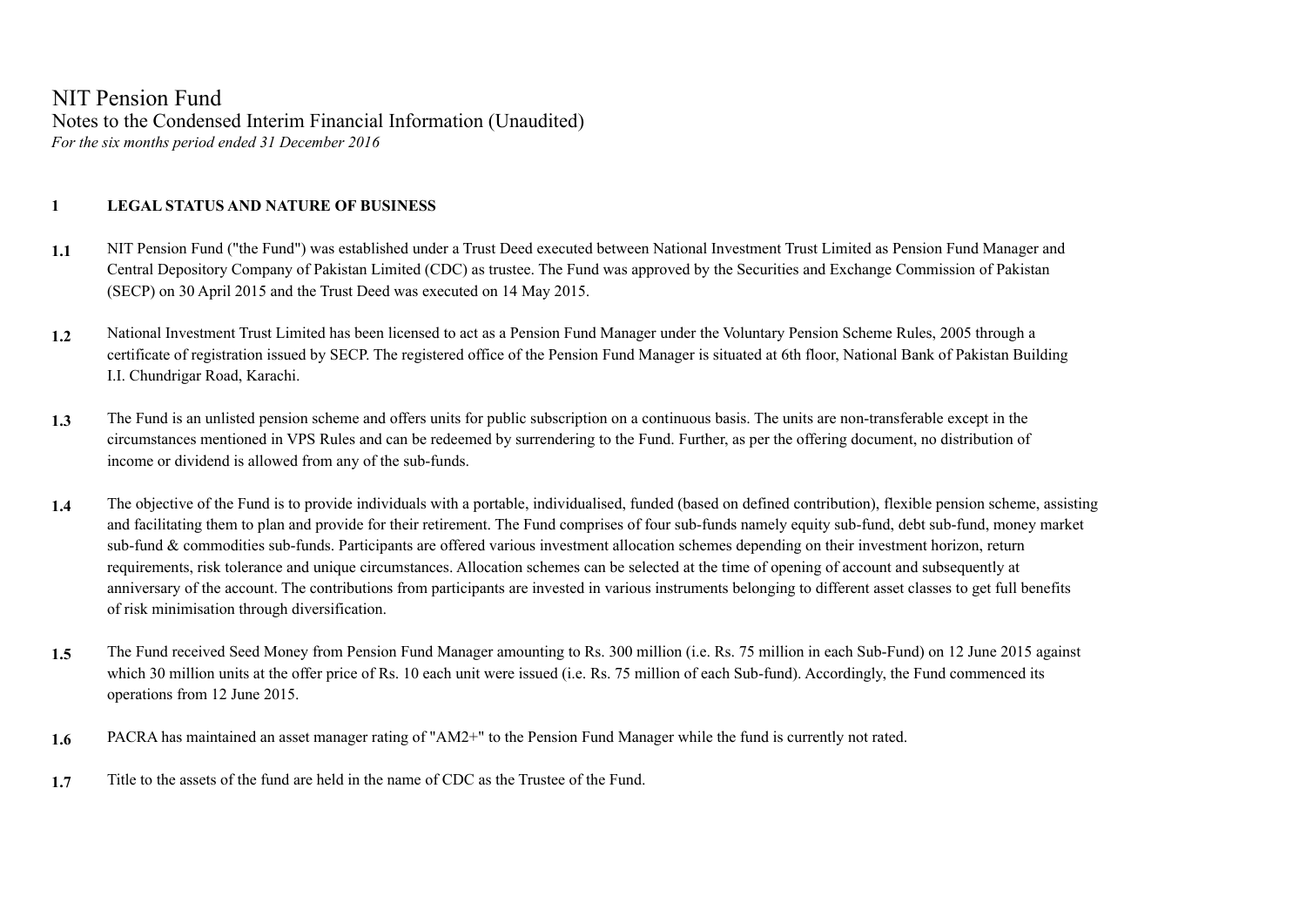NIT Pension Fund Notes to the Condensed Interim Financial Information (Unaudited) *For the six months period ended 31 December 2016*

## **1 LEGAL STATUS AND NATURE OF BUSINESS**

- **1.1** NIT Pension Fund ("the Fund") was established under a Trust Deed executed between National Investment Trust Limited as Pension Fund Manager and Central Depository Company of Pakistan Limited (CDC) as trustee. The Fund was approved by the Securities and Exchange Commission of Pakistan (SECP) on 30 April 2015 and the Trust Deed was executed on 14 May 2015.
- **1.2** National Investment Trust Limited has been licensed to act as a Pension Fund Manager under the Voluntary Pension Scheme Rules, 2005 through a certificate of registration issued by SECP. The registered office of the Pension Fund Manager is situated at 6th floor, National Bank of Pakistan Building I.I. Chundrigar Road, Karachi.
- **1.3** The Fund is an unlisted pension scheme and offers units for public subscription on a continuous basis. The units are non-transferable except in the circumstances mentioned in VPS Rules and can be redeemed by surrendering to the Fund. Further, as per the offering document, no distribution of income or dividend is allowed from any of the sub-funds.
- **1.4** The objective of the Fund is to provide individuals with a portable, individualised, funded (based on defined contribution), flexible pension scheme, assisting and facilitating them to plan and provide for their retirement. The Fund comprises of four sub-funds namely equity sub-fund, debt sub-fund, money market sub-fund & commodities sub-funds. Participants are offered various investment allocation schemes depending on their investment horizon, return requirements, risk tolerance and unique circumstances. Allocation schemes can be selected at the time of opening of account and subsequently at anniversary of the account. The contributions from participants are invested in various instruments belonging to different asset classes to get full benefits of risk minimisation through diversification.
- **1.5** The Fund received Seed Money from Pension Fund Manager amounting to Rs. 300 million (i.e. Rs. 75 million in each Sub-Fund) on 12 June 2015 against which 30 million units at the offer price of Rs. 10 each unit were issued (i.e. Rs. 75 million of each Sub-fund). Accordingly, the Fund commenced its operations from 12 June 2015.
- **1.6** PACRA has maintained an asset manager rating of "AM2+" to the Pension Fund Manager while the fund is currently not rated.
- **1.7** Title to the assets of the fund are held in the name of CDC as the Trustee of the Fund.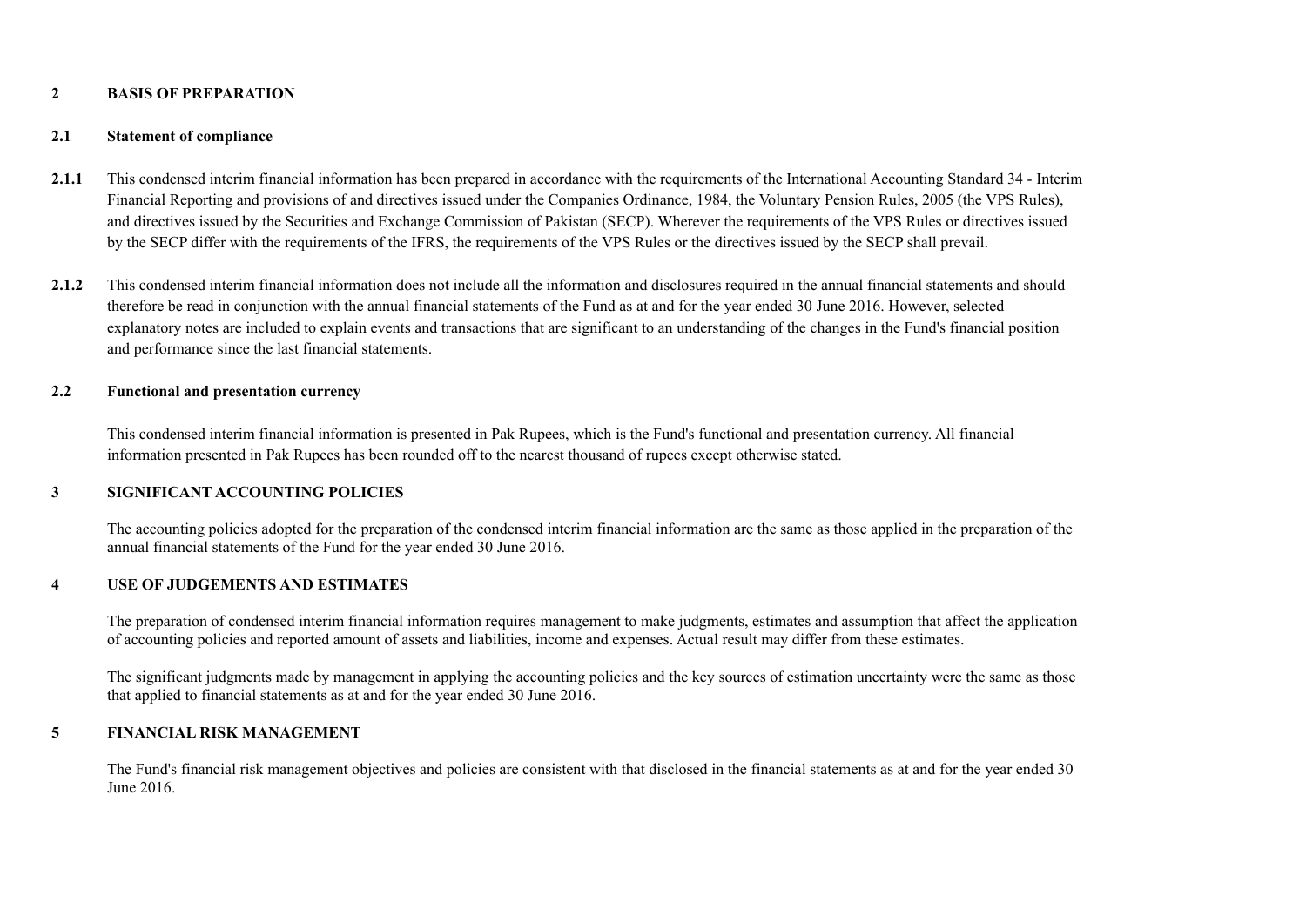### **2 BASIS OF PREPARATION**

### **2.1 Statement of compliance**

- 2.1.1 This condensed interim financial information has been prepared in accordance with the requirements of the International Accounting Standard 34 Interim Financial Reporting and provisions of and directives issued under the Companies Ordinance, 1984, the Voluntary Pension Rules, 2005 (the VPS Rules), and directives issued by the Securities and Exchange Commission of Pakistan (SECP). Wherever the requirements of the VPS Rules or directives issued by the SECP differ with the requirements of the IFRS, the requirements of the VPS Rules or the directives issued by the SECP shall prevail.
- **2.1.2** This condensed interim financial information does not include all the information and disclosures required in the annual financial statements and should therefore be read in conjunction with the annual financial statements of the Fund as at and for the year ended 30 June 2016. However, selected explanatory notes are included to explain events and transactions that are significant to an understanding of the changes in the Fund's financial position and performance since the last financial statements.

### **2.2 Functional and presentation currency**

This condensed interim financial information is presented in Pak Rupees, which is the Fund's functional and presentation currency. All financial information presented in Pak Rupees has been rounded off to the nearest thousand of rupees except otherwise stated.

### **3 SIGNIFICANT ACCOUNTING POLICIES**

The accounting policies adopted for the preparation of the condensed interim financial information are the same as those applied in the preparation of the annual financial statements of the Fund for the year ended 30 June 2016.

### **4 USE OF JUDGEMENTS AND ESTIMATES**

The preparation of condensed interim financial information requires management to make judgments, estimates and assumption that affect the application of accounting policies and reported amount of assets and liabilities, income and expenses. Actual result may differ from these estimates.

The significant judgments made by management in applying the accounting policies and the key sources of estimation uncertainty were the same as those that applied to financial statements as at and for the year ended 30 June 2016.

### **5 FINANCIAL RISK MANAGEMENT**

The Fund's financial risk management objectives and policies are consistent with that disclosed in the financial statements as at and for the year ended 30 June 2016.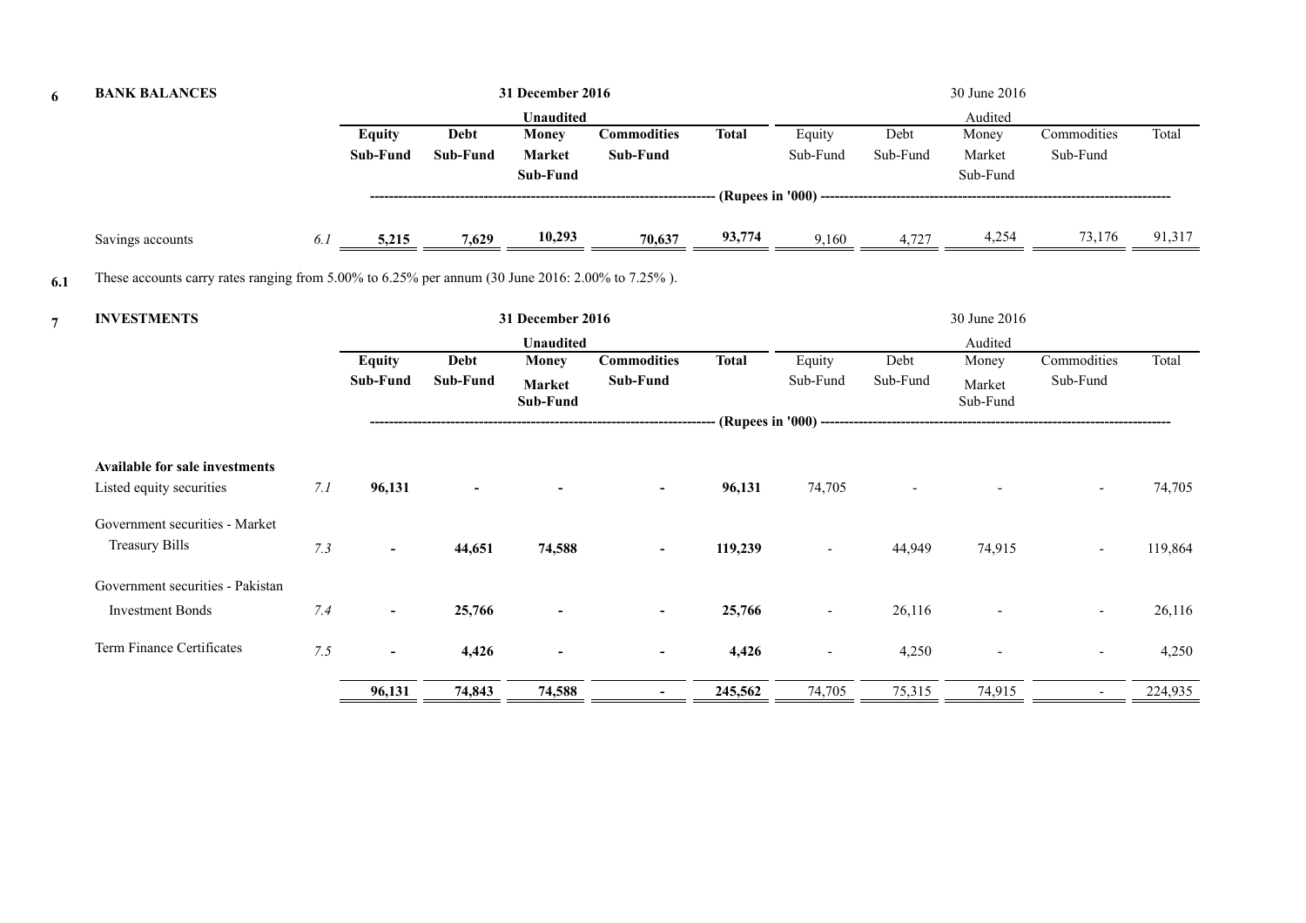| 6              | <b>BANK BALANCES</b>                                                                                   |     |                           |                         | 31 December 2016                          |                                |              |                          |                  | 30 June 2016                |                          |         |
|----------------|--------------------------------------------------------------------------------------------------------|-----|---------------------------|-------------------------|-------------------------------------------|--------------------------------|--------------|--------------------------|------------------|-----------------------------|--------------------------|---------|
|                |                                                                                                        |     |                           |                         | <b>Unaudited</b>                          |                                |              |                          |                  | Audited                     |                          |         |
|                |                                                                                                        |     | <b>Equity</b><br>Sub-Fund | <b>Debt</b><br>Sub-Fund | <b>Money</b><br><b>Market</b><br>Sub-Fund | <b>Commodities</b><br>Sub-Fund | <b>Total</b> | Equity<br>Sub-Fund       | Debt<br>Sub-Fund | Money<br>Market<br>Sub-Fund | Commodities<br>Sub-Fund  | Total   |
|                |                                                                                                        |     |                           |                         |                                           |                                |              |                          |                  |                             |                          |         |
|                | Savings accounts                                                                                       | 6.1 | 5,215                     | 7,629                   | 10,293                                    | 70,637                         | 93,774       | 9,160                    | 4,727            | 4,254                       | 73,176                   | 91,317  |
| 6.1            | These accounts carry rates ranging from $5.00\%$ to $6.25\%$ per annum (30 June 2016: 2.00% to 7.25%). |     |                           |                         |                                           |                                |              |                          |                  |                             |                          |         |
| $\overline{7}$ | <b>INVESTMENTS</b>                                                                                     |     |                           |                         | 31 December 2016                          |                                |              |                          |                  | 30 June 2016                |                          |         |
|                |                                                                                                        |     |                           |                         | <b>Unaudited</b>                          |                                |              |                          |                  | Audited                     |                          |         |
|                |                                                                                                        |     | <b>Equity</b><br>Sub-Fund | Debt<br>Sub-Fund        | <b>Money</b><br>Market<br>Sub-Fund        | <b>Commodities</b><br>Sub-Fund | <b>Total</b> | Equity<br>Sub-Fund       | Debt<br>Sub-Fund | Money<br>Market<br>Sub-Fund | Commodities<br>Sub-Fund  | Total   |
|                |                                                                                                        |     |                           |                         |                                           | ------------------             |              |                          |                  |                             |                          |         |
|                | <b>Available for sale investments</b>                                                                  |     |                           |                         |                                           |                                |              |                          |                  |                             |                          |         |
|                | Listed equity securities                                                                               | 7.1 | 96,131                    |                         |                                           | $\sim$                         | 96,131       | 74,705                   |                  |                             |                          | 74,705  |
|                | Government securities - Market                                                                         |     |                           |                         |                                           |                                |              |                          |                  |                             |                          |         |
|                | <b>Treasury Bills</b>                                                                                  | 7.3 | $\sim$                    | 44,651                  | 74,588                                    | $\sim$                         | 119,239      |                          | 44,949           | 74,915                      |                          | 119,864 |
|                | Government securities - Pakistan                                                                       |     |                           |                         |                                           |                                |              |                          |                  |                             |                          |         |
|                | <b>Investment Bonds</b>                                                                                | 7.4 | $\sim$                    | 25,766                  | $\blacksquare$                            |                                | 25,766       | $\overline{\phantom{a}}$ | 26,116           |                             | $\overline{\phantom{a}}$ | 26,116  |
|                | Term Finance Certificates                                                                              | 7.5 | $\overline{\phantom{a}}$  | 4,426                   |                                           |                                | 4,426        | $\overline{\phantom{a}}$ | 4,250            |                             |                          | 4,250   |
|                |                                                                                                        |     | 96,131                    | 74,843                  | 74,588                                    |                                | 245,562      | 74,705                   | 75,315           | 74,915                      |                          | 224,935 |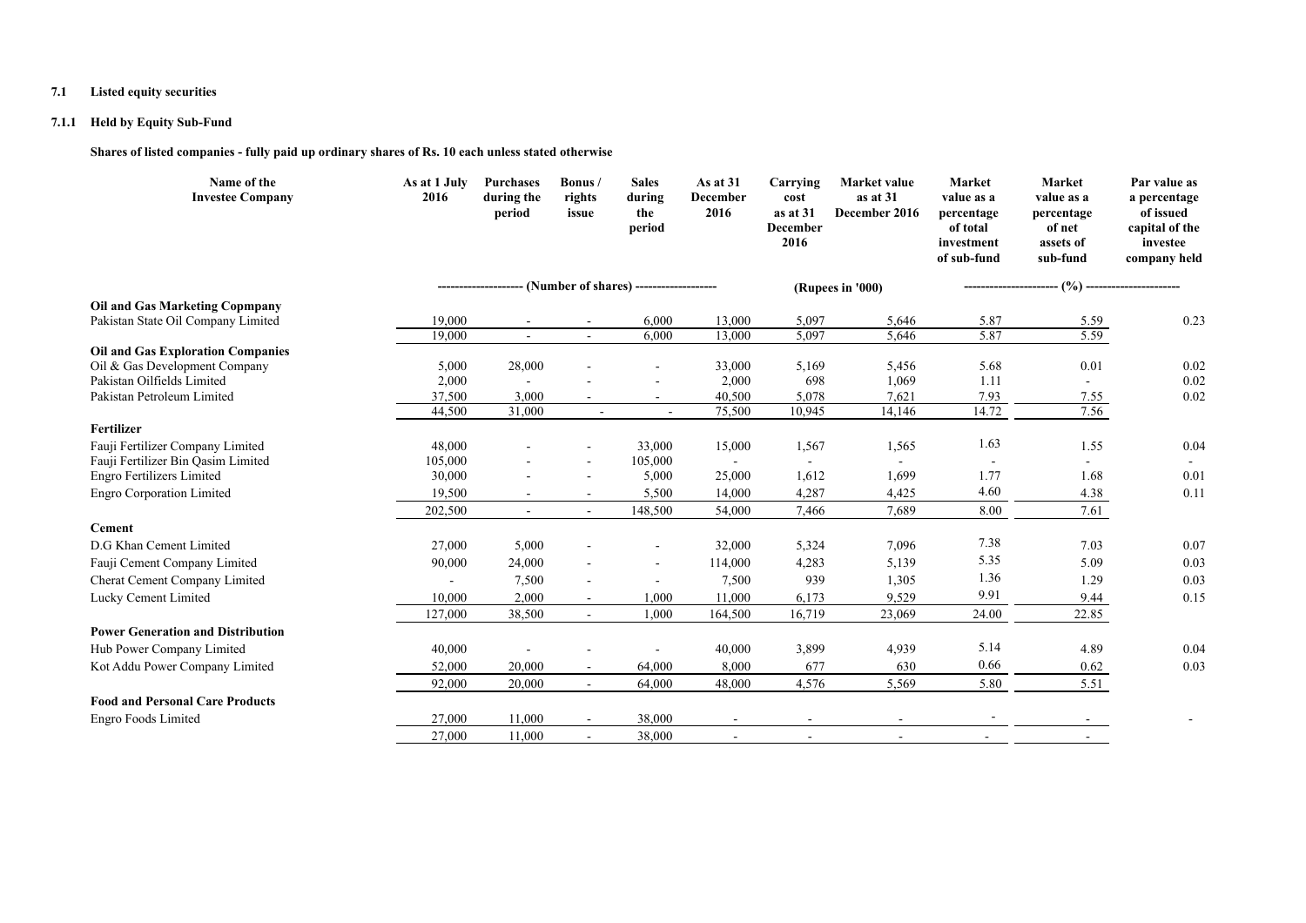### **7.1 Listed equity securities**

### **7.1.1 Held by Equity Sub-Fund**

**Shares of listed companies - fully paid up ordinary shares of Rs. 10 each unless stated otherwise**

| Name of the<br><b>Investee Company</b>   | As at 1 July<br>2016 | <b>Purchases</b><br>during the<br>period | Bonus/<br>rights<br>issue | <b>Sales</b><br>during<br>the<br>period    | As at 31<br><b>December</b><br>2016 | Carrying<br>cost<br>as at 31<br><b>December</b><br>2016 | Market value<br>as at 31<br>December 2016 | Market<br>value as a<br>percentage<br>of total<br>investment<br>of sub-fund | Market<br>value as a<br>percentage<br>of net<br>assets of<br>sub-fund | Par value as<br>a percentage<br>of issued<br>capital of the<br>investee<br>company held |
|------------------------------------------|----------------------|------------------------------------------|---------------------------|--------------------------------------------|-------------------------------------|---------------------------------------------------------|-------------------------------------------|-----------------------------------------------------------------------------|-----------------------------------------------------------------------|-----------------------------------------------------------------------------------------|
|                                          |                      |                                          |                           | -- (Number of shares) -------------------- |                                     |                                                         | (Rupees in '000)                          |                                                                             | $\frac{6}{2}$                                                         |                                                                                         |
| <b>Oil and Gas Marketing Copmpany</b>    |                      |                                          |                           |                                            |                                     |                                                         |                                           |                                                                             |                                                                       |                                                                                         |
| Pakistan State Oil Company Limited       | 19,000               | $\overline{\phantom{a}}$                 | $\sim$                    | 6,000                                      | 13,000                              | 5,097                                                   | 5,646                                     | 5.87                                                                        | 5.59                                                                  | 0.23                                                                                    |
|                                          | 19,000               | $\sim$                                   | $\sim$                    | 6,000                                      | 13,000                              | 5,097                                                   | 5,646                                     | 5.87                                                                        | 5.59                                                                  |                                                                                         |
| <b>Oil and Gas Exploration Companies</b> |                      |                                          |                           |                                            |                                     |                                                         |                                           |                                                                             |                                                                       |                                                                                         |
| Oil & Gas Development Company            | 5,000                | 28,000                                   |                           |                                            | 33,000                              | 5,169                                                   | 5,456                                     | 5.68                                                                        | 0.01                                                                  | 0.02                                                                                    |
| Pakistan Oilfields Limited               | 2,000                |                                          |                           |                                            | 2,000                               | 698                                                     | 1,069                                     | 1.11                                                                        |                                                                       | 0.02                                                                                    |
| Pakistan Petroleum Limited               | 37,500               | 3,000                                    |                           | $\overline{\phantom{a}}$                   | 40,500                              | 5,078                                                   | 7,621                                     | 7.93                                                                        | 7.55                                                                  | 0.02                                                                                    |
|                                          | 44,500               | 31,000                                   | $\sim$                    | $\sim$                                     | 75,500                              | 10,945                                                  | 14,146                                    | 14.72                                                                       | 7.56                                                                  |                                                                                         |
| Fertilizer                               |                      |                                          |                           |                                            |                                     |                                                         |                                           |                                                                             |                                                                       |                                                                                         |
| Fauji Fertilizer Company Limited         | 48,000               |                                          |                           | 33,000                                     | 15,000                              | 1,567                                                   | 1,565                                     | 1.63                                                                        | 1.55                                                                  | 0.04                                                                                    |
| Fauji Fertilizer Bin Qasim Limited       | 105,000<br>30,000    |                                          |                           | 105,000                                    | $\sim$                              |                                                         |                                           | $\overline{\phantom{a}}$<br>1.77                                            | 1.68                                                                  | 0.01                                                                                    |
| <b>Engro Fertilizers Limited</b>         |                      |                                          | $\overline{a}$            | 5,000                                      | 25,000                              | 1,612                                                   | 1,699                                     | 4.60                                                                        |                                                                       |                                                                                         |
| <b>Engro Corporation Limited</b>         | 19,500               |                                          |                           | 5,500                                      | 14,000                              | 4,287                                                   | 4,425                                     |                                                                             | 4.38                                                                  | 0.11                                                                                    |
|                                          | 202,500              | $\sim$                                   | $\sim$                    | 148,500                                    | 54,000                              | 7,466                                                   | 7,689                                     | 8.00                                                                        | 7.61                                                                  |                                                                                         |
| Cement                                   |                      |                                          |                           |                                            |                                     |                                                         |                                           |                                                                             |                                                                       |                                                                                         |
| D.G Khan Cement Limited                  | 27,000               | 5,000                                    | ÷                         | $\blacksquare$                             | 32,000                              | 5,324                                                   | 7,096                                     | 7.38                                                                        | 7.03                                                                  | 0.07                                                                                    |
| Fauji Cement Company Limited             | 90,000               | 24,000                                   |                           |                                            | 114,000                             | 4,283                                                   | 5,139                                     | 5.35                                                                        | 5.09                                                                  | 0.03                                                                                    |
| Cherat Cement Company Limited            | $\sim$               | 7,500                                    |                           |                                            | 7,500                               | 939                                                     | 1,305                                     | 1.36                                                                        | 1.29                                                                  | 0.03                                                                                    |
| Lucky Cement Limited                     | 10,000               | 2,000                                    |                           | 1,000                                      | 11,000                              | 6,173                                                   | 9,529                                     | 9.91                                                                        | 9.44                                                                  | 0.15                                                                                    |
|                                          | 127,000              | 38,500                                   | $\sim$                    | 1,000                                      | 164,500                             | 16,719                                                  | 23,069                                    | 24.00                                                                       | 22.85                                                                 |                                                                                         |
| <b>Power Generation and Distribution</b> |                      |                                          |                           |                                            |                                     |                                                         |                                           |                                                                             |                                                                       |                                                                                         |
| Hub Power Company Limited                | 40,000               |                                          |                           |                                            | 40,000                              | 3,899                                                   | 4,939                                     | 5.14                                                                        | 4.89                                                                  | 0.04                                                                                    |
| Kot Addu Power Company Limited           | 52,000               | 20,000                                   |                           | 64,000                                     | 8,000                               | 677                                                     | 630                                       | 0.66                                                                        | 0.62                                                                  | 0.03                                                                                    |
|                                          | 92,000               | 20,000                                   | $\blacksquare$            | 64,000                                     | 48,000                              | 4,576                                                   | 5,569                                     | 5.80                                                                        | 5.51                                                                  |                                                                                         |
| <b>Food and Personal Care Products</b>   |                      |                                          |                           |                                            |                                     |                                                         |                                           |                                                                             |                                                                       |                                                                                         |
|                                          |                      |                                          |                           |                                            |                                     |                                                         |                                           |                                                                             |                                                                       |                                                                                         |
| Engro Foods Limited                      | 27,000               | 11,000                                   |                           | 38,000                                     |                                     |                                                         |                                           |                                                                             |                                                                       |                                                                                         |
|                                          | 27,000               | 11,000                                   | $\sim$                    | 38,000                                     | $\sim$                              | $\overline{\phantom{a}}$                                | $\sim$                                    | $\sim$                                                                      |                                                                       |                                                                                         |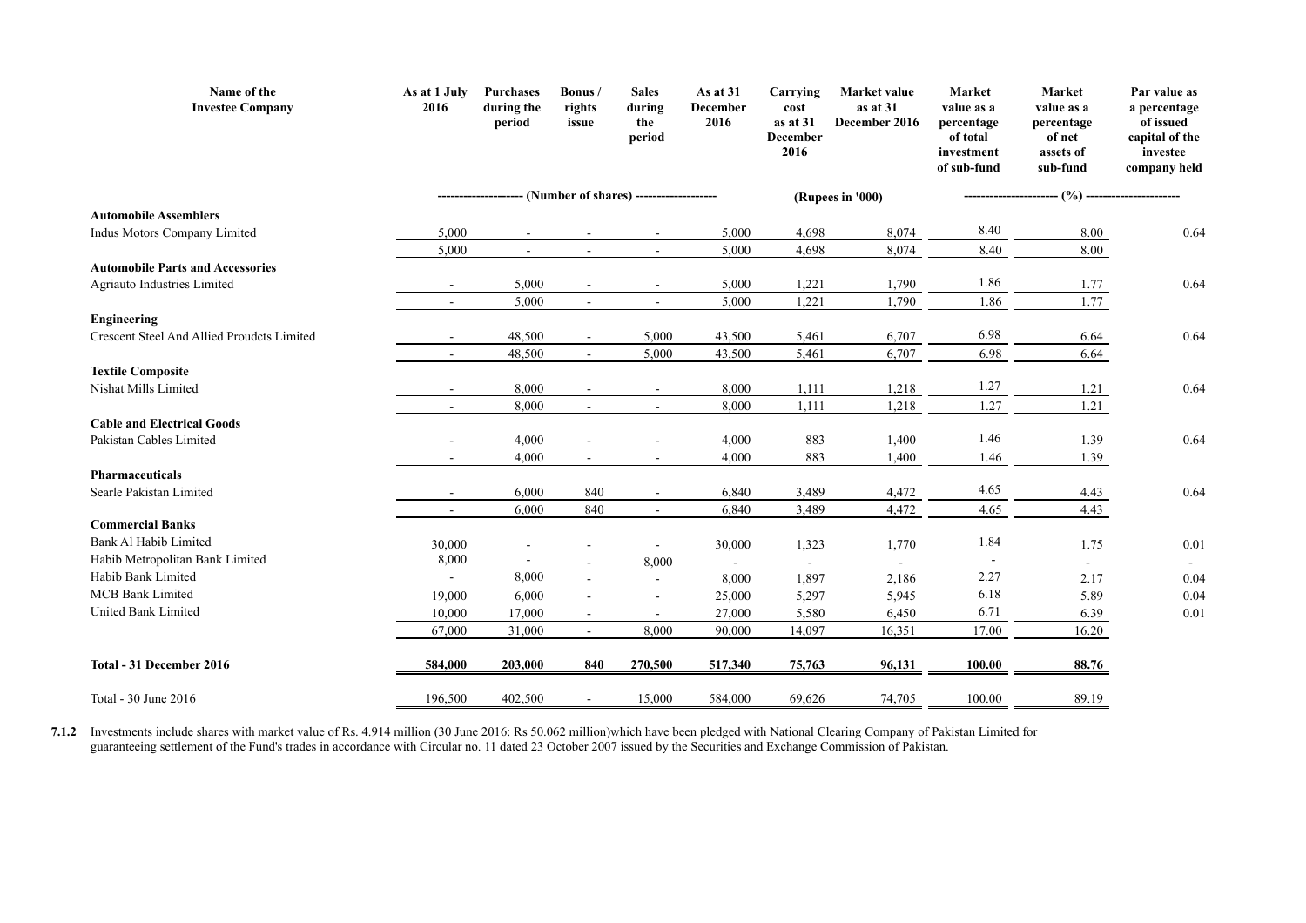| Name of the<br><b>Investee Company</b>                | As at 1 July<br>2016     | <b>Purchases</b><br>during the<br>period | Bonus/<br>rights<br>issue | <b>Sales</b><br>during<br>the<br>period | As at 31<br><b>December</b><br>2016 | Carrying<br>cost<br>as at 31<br><b>December</b><br>2016 | <b>Market value</b><br>as at 31<br>December 2016 | <b>Market</b><br>value as a<br>percentage<br>of total<br>investment<br>of sub-fund | Market<br>value as a<br>percentage<br>of net<br>assets of<br>sub-fund | Par value as<br>a percentage<br>of issued<br>capital of the<br>investee<br>company held |
|-------------------------------------------------------|--------------------------|------------------------------------------|---------------------------|-----------------------------------------|-------------------------------------|---------------------------------------------------------|--------------------------------------------------|------------------------------------------------------------------------------------|-----------------------------------------------------------------------|-----------------------------------------------------------------------------------------|
|                                                       |                          |                                          | (Number of shares) -      |                                         |                                     |                                                         | (Rupees in '000)                                 |                                                                                    | (%)                                                                   |                                                                                         |
| <b>Automobile Assemblers</b>                          |                          |                                          |                           |                                         |                                     |                                                         |                                                  |                                                                                    |                                                                       |                                                                                         |
| Indus Motors Company Limited                          | 5,000                    |                                          |                           |                                         | 5,000                               | 4,698                                                   | 8,074                                            | 8.40                                                                               | $8.00\,$                                                              | 0.64                                                                                    |
|                                                       | 5,000                    |                                          |                           | $\blacksquare$                          | 5,000                               | 4,698                                                   | 8,074                                            | 8.40                                                                               | 8.00                                                                  |                                                                                         |
| <b>Automobile Parts and Accessories</b>               |                          |                                          |                           |                                         |                                     |                                                         |                                                  |                                                                                    |                                                                       |                                                                                         |
| Agriauto Industries Limited                           | $\sim$                   | 5,000                                    | $\blacksquare$            | $\sim$                                  | 5,000                               | 1,221                                                   | 1,790                                            | 1.86                                                                               | 1.77                                                                  | 0.64                                                                                    |
|                                                       | $\overline{\phantom{a}}$ | 5,000                                    | $\blacksquare$            | $\sim$                                  | 5,000                               | 1,221                                                   | 1,790                                            | 1.86                                                                               | 1.77                                                                  |                                                                                         |
| <b>Engineering</b>                                    |                          |                                          |                           |                                         |                                     |                                                         |                                                  |                                                                                    |                                                                       |                                                                                         |
| Crescent Steel And Allied Proudcts Limited            | $\overline{\phantom{a}}$ | 48,500                                   | $\sim$                    | 5,000                                   | 43,500                              | 5,461                                                   | 6,707                                            | 6.98                                                                               | 6.64                                                                  | 0.64                                                                                    |
|                                                       | $\blacksquare$           | 48,500                                   | $\blacksquare$            | 5,000                                   | 43,500                              | 5,461                                                   | 6,707                                            | 6.98                                                                               | 6.64                                                                  |                                                                                         |
| <b>Textile Composite</b>                              |                          |                                          |                           |                                         |                                     |                                                         |                                                  |                                                                                    |                                                                       |                                                                                         |
| Nishat Mills Limited                                  | $\overline{\phantom{a}}$ | 8,000                                    |                           | $\sim$                                  | 8,000                               | 1,111                                                   | 1,218                                            | 1.27                                                                               | 1.21                                                                  | 0.64                                                                                    |
|                                                       | $\blacksquare$           | 8,000                                    | $\sim$                    | $\sim$                                  | 8,000                               | 1,111                                                   | 1,218                                            | 1.27                                                                               | 1.21                                                                  |                                                                                         |
| <b>Cable and Electrical Goods</b>                     |                          |                                          |                           |                                         |                                     |                                                         |                                                  |                                                                                    |                                                                       |                                                                                         |
| Pakistan Cables Limited                               | $\overline{\phantom{a}}$ | 4,000                                    |                           | $\overline{\phantom{a}}$                | 4,000                               | 883                                                     | 1,400                                            | 1.46                                                                               | 1.39                                                                  | 0.64                                                                                    |
|                                                       | $\blacksquare$           | 4,000                                    | $\sim$                    | $\blacksquare$                          | 4,000                               | 883                                                     | 1,400                                            | 1.46                                                                               | 1.39                                                                  |                                                                                         |
| Pharmaceuticals                                       |                          |                                          |                           |                                         |                                     |                                                         |                                                  |                                                                                    |                                                                       |                                                                                         |
| Searle Pakistan Limited                               | $\overline{\phantom{a}}$ | 6,000                                    | 840                       | $\sim$                                  | 6,840                               | 3,489                                                   | 4,472                                            | 4.65                                                                               | 4.43                                                                  | 0.64                                                                                    |
|                                                       | $\overline{\phantom{a}}$ | 6,000                                    | 840                       | $\sim$                                  | 6,840                               | 3,489                                                   | 4,472                                            | 4.65                                                                               | 4.43                                                                  |                                                                                         |
| <b>Commercial Banks</b>                               |                          |                                          |                           |                                         |                                     |                                                         |                                                  |                                                                                    |                                                                       |                                                                                         |
| Bank Al Habib Limited                                 | 30,000                   |                                          |                           | $\sim$                                  | 30,000                              | 1,323                                                   | 1,770                                            | 1.84                                                                               | 1.75                                                                  | 0.01                                                                                    |
| Habib Metropolitan Bank Limited<br>Habib Bank Limited | 8,000                    |                                          |                           | 8,000                                   | $\sim$                              | $\sim$                                                  |                                                  | $\overline{a}$                                                                     | $\blacksquare$                                                        |                                                                                         |
| <b>MCB</b> Bank Limited                               |                          | 8,000                                    |                           | $\overline{\phantom{a}}$                | 8,000                               | 1,897                                                   | 2,186                                            | 2.27                                                                               | 2.17                                                                  | 0.04                                                                                    |
| United Bank Limited                                   | 19,000                   | 6,000                                    |                           | $\overline{\phantom{a}}$                | 25,000                              | 5,297                                                   | 5,945                                            | 6.18                                                                               | 5.89                                                                  | 0.04                                                                                    |
|                                                       | 10,000                   | 17,000                                   | $\sim$                    | $\sim$                                  | 27,000                              | 5,580                                                   | 6,450                                            | 6.71                                                                               | 6.39                                                                  | 0.01                                                                                    |
|                                                       | 67,000                   | 31,000                                   | $\sim$                    | 8,000                                   | 90,000                              | 14,097                                                  | 16,351                                           | 17.00                                                                              | 16.20                                                                 |                                                                                         |
| Total - 31 December 2016                              | 584,000                  | 203,000                                  | 840                       | 270,500                                 | 517,340                             | 75,763                                                  | 96,131                                           | 100.00                                                                             | 88.76                                                                 |                                                                                         |
| Total - 30 June 2016                                  | 196,500                  | 402,500                                  |                           | 15,000                                  | 584,000                             | 69,626                                                  | 74,705                                           | 100.00                                                                             | 89.19                                                                 |                                                                                         |

**7.1.2** Investments include shares with market value of Rs. 4.914 million (30 June 2016: Rs 50.062 million)which have been pledged with National Clearing Company of Pakistan Limited for guaranteeing settlement of the Fund's trades in accordance with Circular no. 11 dated 23 October 2007 issued by the Securities and Exchange Commission of Pakistan.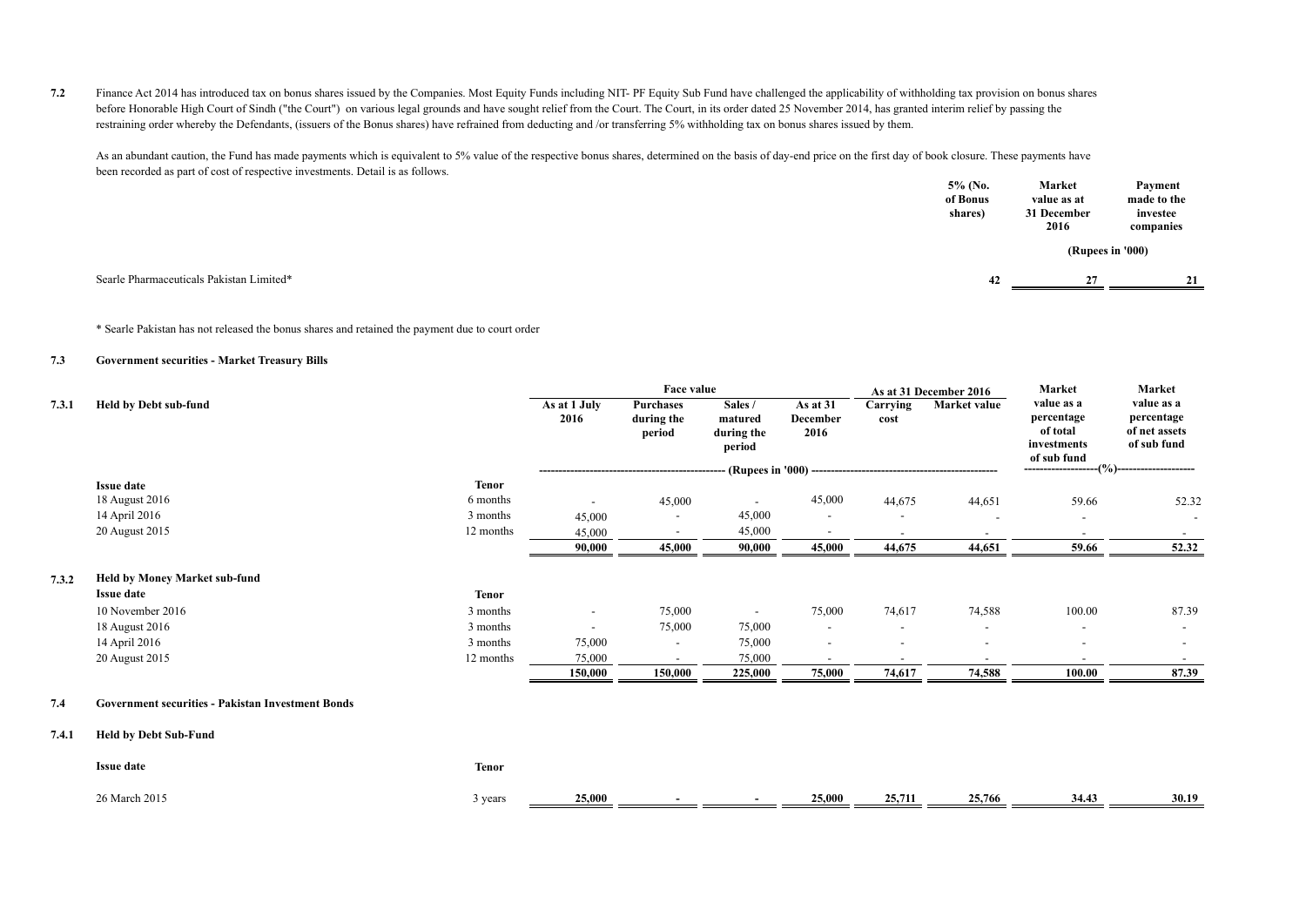**7.2** Finance Act 2014 has introduced tax on bonus shares issued by the Companies. Most Equity Funds including NIT- PF Equity Sub Fund have challenged the applicability of withholding tax provision on bonus shares before Honorable High Court of Sindh ("the Court") on various legal grounds and have sought relief from the Court. The Court, in its order dated 25 November 2014, has granted interim relief by passing the restraining order whereby the Defendants, (issuers of the Bonus shares) have refrained from deducting and /or transferring 5% withholding tax on bonus shares issued by them.

As an abundant caution, the Fund has made payments which is equivalent to 5% value of the respective bonus shares, determined on the basis of day-end price on the first day of book closure. These payments have been recorded as part of cost of respective investments. Detail is as follows.  **5% (No. Market**

|                                          | 5% (No.<br>of Bonus<br>shares) | Market<br>value as at<br>31 December<br>2016 | Payment<br>made to the<br>investee<br>companies |
|------------------------------------------|--------------------------------|----------------------------------------------|-------------------------------------------------|
|                                          |                                |                                              | (Rupees in '000)                                |
| Searle Pharmaceuticals Pakistan Limited* | 42                             | 27                                           | 21                                              |

\* Searle Pakistan has not released the bonus shares and retained the payment due to court order

#### **7.3 Government securities - Market Treasury Bills**

|       |                                                          |              |                          | Face value                        |                                            |                                               |                          | As at 31 December 2016   | Market                                                             | Market                                                   |
|-------|----------------------------------------------------------|--------------|--------------------------|-----------------------------------|--------------------------------------------|-----------------------------------------------|--------------------------|--------------------------|--------------------------------------------------------------------|----------------------------------------------------------|
| 7.3.1 | Held by Debt sub-fund                                    |              | As at 1 July<br>2016     | Purchases<br>during the<br>period | Sales /<br>matured<br>during the<br>period | As at 31<br>December<br>2016                  | Carrying<br>cost         | Market value             | value as a<br>percentage<br>of total<br>investments<br>of sub fund | value as a<br>percentage<br>of net assets<br>of sub fund |
|       |                                                          |              |                          |                                   |                                            | - (Rupees in '000) -------------------------- |                          |                          | $-(\%)$ --                                                         |                                                          |
|       | <b>Issue date</b>                                        | <b>Tenor</b> |                          |                                   |                                            |                                               |                          |                          |                                                                    |                                                          |
|       | 18 August 2016                                           | 6 months     |                          | 45,000                            | $\overline{\phantom{a}}$                   | 45,000                                        | 44,675                   | 44,651                   | 59.66                                                              | 52.32                                                    |
|       | 14 April 2016                                            | 3 months     | 45,000                   | $\overline{\phantom{a}}$          | 45,000                                     | $\overline{\phantom{a}}$                      |                          |                          | $\overline{\phantom{a}}$                                           | $\overline{\phantom{a}}$                                 |
|       | 20 August 2015                                           | 12 months    | 45,000                   |                                   | 45,000                                     |                                               |                          |                          | $\overline{\phantom{a}}$                                           | $-$                                                      |
|       |                                                          |              | 90,000                   | 45,000                            | 90,000                                     | 45,000                                        | 44,675                   | 44,651                   | 59.66                                                              | 52.32                                                    |
| 7.3.2 | <b>Held by Money Market sub-fund</b>                     |              |                          |                                   |                                            |                                               |                          |                          |                                                                    |                                                          |
|       | <b>Issue date</b>                                        | <b>Tenor</b> |                          |                                   |                                            |                                               |                          |                          |                                                                    |                                                          |
|       | 10 November 2016                                         | 3 months     | $\overline{\phantom{a}}$ | 75,000                            | $\overline{\phantom{a}}$                   | 75,000                                        | 74,617                   | 74,588                   | 100.00                                                             | 87.39                                                    |
|       | 18 August 2016                                           | 3 months     | $\overline{\phantom{a}}$ | 75,000                            | 75,000                                     | $\overline{\phantom{a}}$                      | $\overline{\phantom{a}}$ |                          | $\overline{\phantom{a}}$                                           | $\overline{\phantom{a}}$                                 |
|       | 14 April 2016                                            | 3 months     | 75,000                   |                                   | 75,000                                     | $\overline{\phantom{a}}$                      |                          |                          |                                                                    | $\overline{\phantom{a}}$                                 |
|       | 20 August 2015                                           | 12 months    | 75,000                   | $\overline{\phantom{a}}$          | 75,000                                     | $\overline{\phantom{a}}$                      | $\overline{\phantom{a}}$ | $\overline{\phantom{a}}$ | $\overline{\phantom{a}}$                                           | $\sim$                                                   |
|       |                                                          |              | 150,000                  | 150,000                           | 225,000                                    | 75,000                                        | 74,617                   | 74,588                   | 100.00                                                             | 87.39                                                    |
| 7.4   | <b>Government securities - Pakistan Investment Bonds</b> |              |                          |                                   |                                            |                                               |                          |                          |                                                                    |                                                          |
| 7.4.1 | <b>Held by Debt Sub-Fund</b>                             |              |                          |                                   |                                            |                                               |                          |                          |                                                                    |                                                          |
|       | <b>Issue date</b>                                        | <b>Tenor</b> |                          |                                   |                                            |                                               |                          |                          |                                                                    |                                                          |
|       |                                                          |              |                          |                                   |                                            |                                               |                          |                          |                                                                    |                                                          |

26 March 2015 3 years **25,000 - - 25,000 25,711 25,766 34.43 30.19**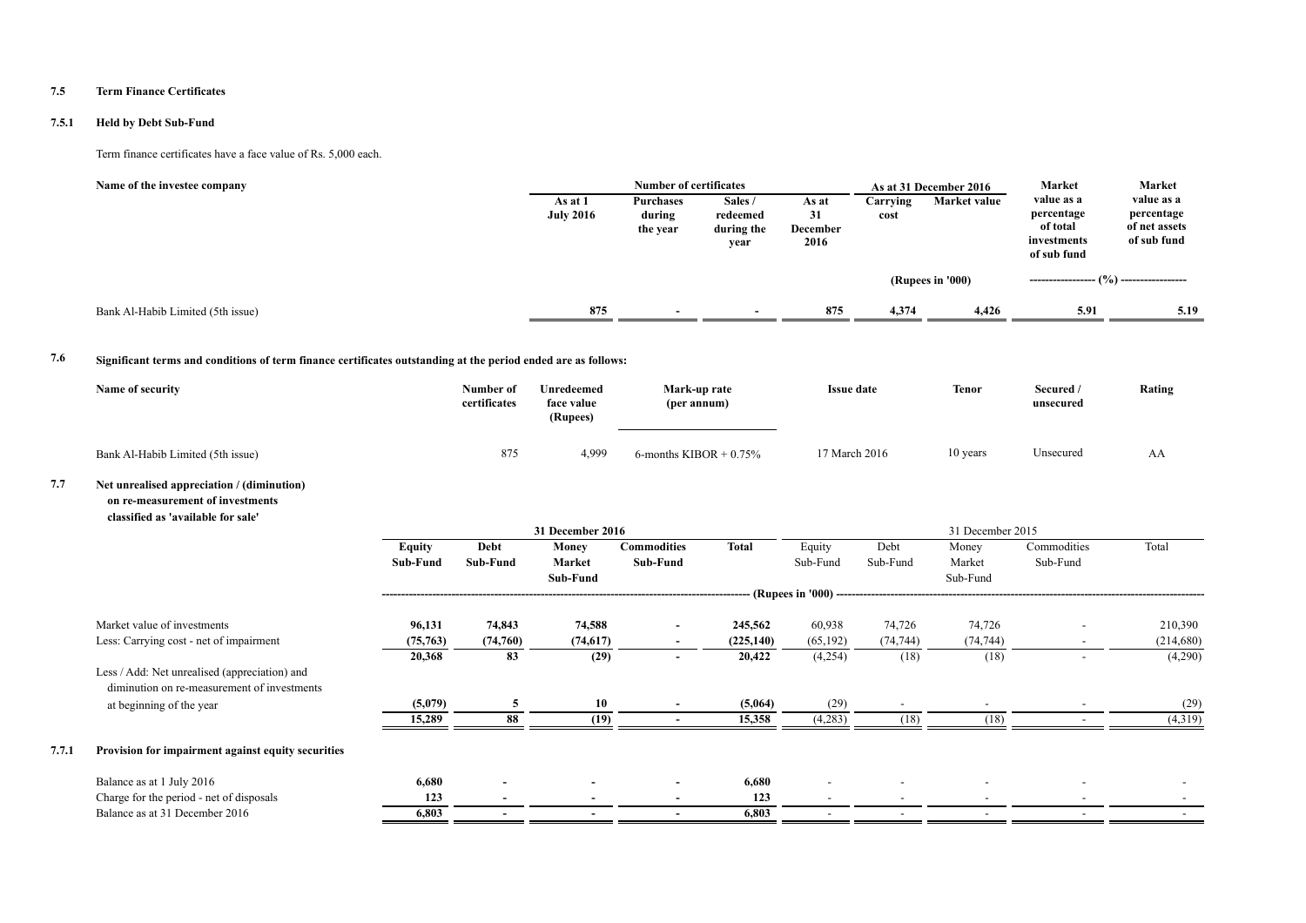#### **7.5 Term Finance Certificates**

#### **7.5.1 Held by Debt Sub-Fund**

#### Term finance certificates have a face value of Rs. 5,000 each.

| Name of the investee company      | As at 1<br><b>July 2016</b> | <b>Number of certificates</b><br>Purchases<br>during<br>the year | Sales /<br>redeemed<br>during the<br>year | As at<br>31<br><b>December</b><br>2016 | Carrving<br>cost | As at 31 December 2016<br>Market value | Market<br>value as a<br>percentage<br>of total<br>investments<br>of sub fund | Market<br>value as a<br>percentage<br>of net assets<br>of sub fund |
|-----------------------------------|-----------------------------|------------------------------------------------------------------|-------------------------------------------|----------------------------------------|------------------|----------------------------------------|------------------------------------------------------------------------------|--------------------------------------------------------------------|
|                                   |                             |                                                                  |                                           |                                        |                  | (Rupees in '000)                       |                                                                              | -------- (%) -----------------                                     |
| Bank Al-Habib Limited (5th issue) | 875                         |                                                                  |                                           | 875                                    | 4.374            | 4,426                                  | 5.91                                                                         | 5.19                                                               |

### **7.6 Significant terms and conditions of term finance certificates outstanding at the period ended are as follows:**

| Name of security                  | Number of<br>certificates | Unredeemed<br>face value<br>(Rupees) | Mark-up rate<br>(per annum) | <b>Issue date</b> | <b>Tenor</b><br>$\sim$ $\sim$ | Secured /<br>unsecured | Rating |
|-----------------------------------|---------------------------|--------------------------------------|-----------------------------|-------------------|-------------------------------|------------------------|--------|
| Bank Al-Habib Limited (5th issue) | 875                       | 4,999                                | 6-months KIBOR $+$ 0.75%    | 17 March 2016     | 10 years                      | Unsecured              | AΑ     |

#### **7.7 Net unrealised appreciation / (diminution) on re-measurement of investments classified as 'available for sale'**

|       |                                                                                              | 31 December 2016 |                          |           |                          |              |                                           | 31 December 2015         |                          |                          |                          |  |
|-------|----------------------------------------------------------------------------------------------|------------------|--------------------------|-----------|--------------------------|--------------|-------------------------------------------|--------------------------|--------------------------|--------------------------|--------------------------|--|
|       |                                                                                              | Equity           | Debt                     | Money     | <b>Commodities</b>       | <b>Total</b> | Equity                                    | Debt                     | Money                    | Commodities              | Total                    |  |
|       |                                                                                              | Sub-Fund         | Sub-Fund                 | Market    | Sub-Fund                 |              | Sub-Fund                                  | Sub-Fund                 | Market                   | Sub-Fund                 |                          |  |
|       |                                                                                              |                  |                          | Sub-Fund  |                          |              | (Rupees in '000) ------------------------ |                          | Sub-Fund                 |                          |                          |  |
|       |                                                                                              |                  |                          |           |                          |              |                                           |                          |                          |                          |                          |  |
|       | Market value of investments                                                                  | 96,131           | 74,843                   | 74,588    | $\overline{\phantom{a}}$ | 245,562      | 60,938                                    | 74,726                   | 74,726                   | $\overline{\phantom{0}}$ | 210,390                  |  |
|       | Less: Carrying cost - net of impairment                                                      | (75,763)         | (74,760)                 | (74, 617) | $\overline{\phantom{a}}$ | (225, 140)   | (65, 192)                                 | (74, 744)                | (74, 744)                | $\overline{\phantom{a}}$ | (214,680)                |  |
|       |                                                                                              | 20,368           | 83                       | (29)      | $\overline{\phantom{a}}$ | 20,422       | (4,254)                                   | (18)                     | (18)                     | $\overline{\phantom{a}}$ | (4,290)                  |  |
|       | Less / Add: Net unrealised (appreciation) and<br>diminution on re-measurement of investments |                  |                          |           |                          |              |                                           |                          |                          |                          |                          |  |
|       | at beginning of the year                                                                     | (5,079)          | 5                        | 10        | $\overline{\phantom{a}}$ | (5,064)      | (29)                                      | $\overline{\phantom{a}}$ |                          |                          | (29)                     |  |
|       |                                                                                              | 15,289           | 88                       | (19)      |                          | 15,358       | (4,283)                                   | (18)                     | (18)                     |                          | (4,319)                  |  |
| 7.7.1 | Provision for impairment against equity securities                                           |                  |                          |           |                          |              |                                           |                          |                          |                          |                          |  |
|       | Balance as at 1 July 2016                                                                    | 6,680            | $\overline{\phantom{0}}$ |           | $\overline{\phantom{a}}$ | 6,680        | $\overline{\phantom{a}}$                  | $\overline{\phantom{a}}$ | $\overline{\phantom{a}}$ |                          | $\overline{\phantom{a}}$ |  |
|       | Charge for the period - net of disposals                                                     | 123              | $\overline{\phantom{0}}$ |           | $\overline{\phantom{0}}$ | 123          | $\overline{\phantom{a}}$                  | $\overline{\phantom{0}}$ |                          |                          |                          |  |
|       | Balance as at 31 December 2016                                                               | 6,803            | $\overline{\phantom{0}}$ |           | $\overline{\phantom{0}}$ | 6,803        | $\overline{\phantom{a}}$                  |                          |                          |                          |                          |  |
|       |                                                                                              |                  |                          |           |                          |              |                                           |                          |                          |                          |                          |  |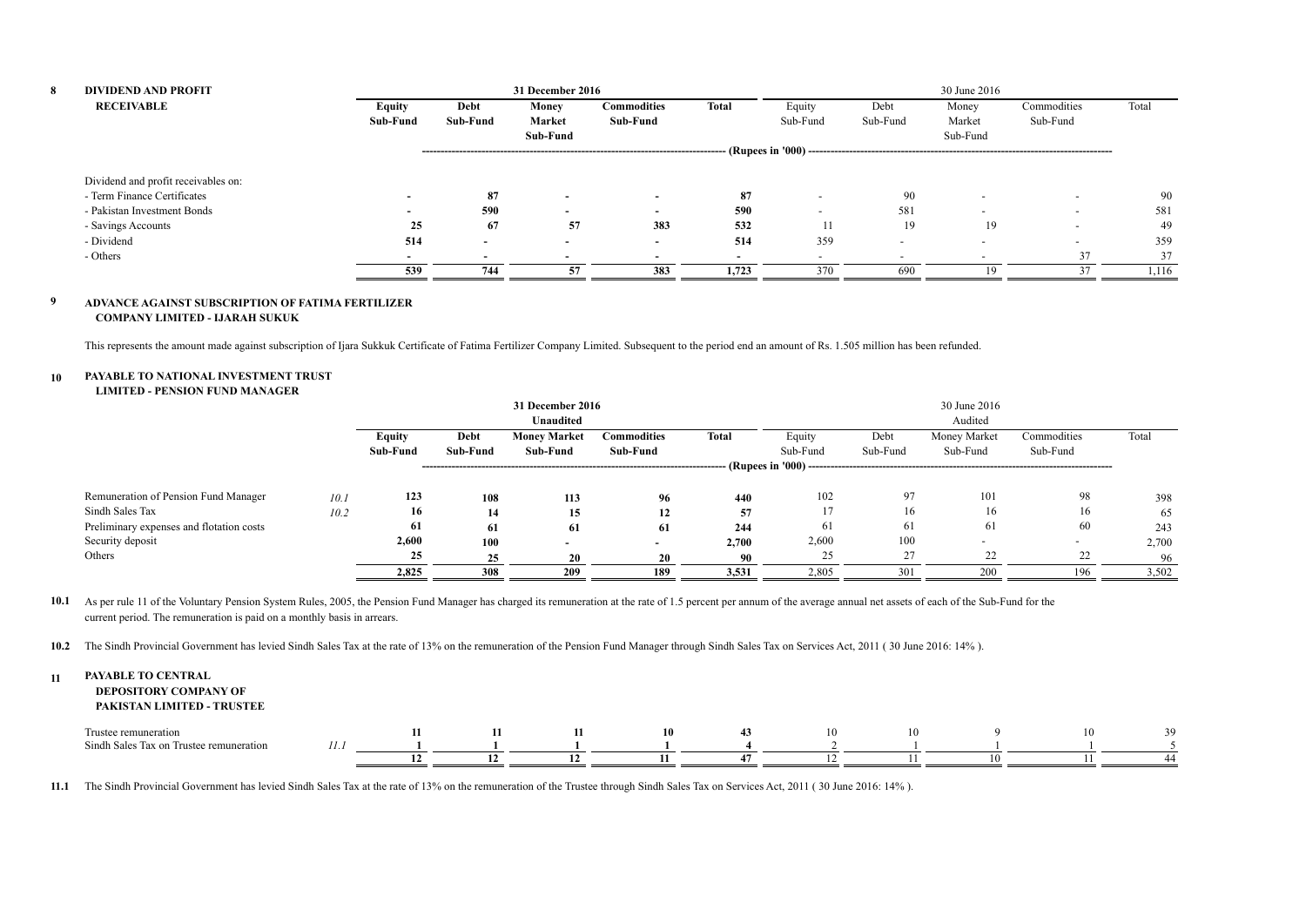| 8 | <b>DIVIDEND AND PROFIT</b>          |          |                          | 31 December 2016         |                          |                          | 30 June 2016              |                          |          |                          |       |  |
|---|-------------------------------------|----------|--------------------------|--------------------------|--------------------------|--------------------------|---------------------------|--------------------------|----------|--------------------------|-------|--|
|   | <b>RECEIVABLE</b>                   | Equity   | Debt                     | Money                    | <b>Commodities</b>       | <b>Total</b>             | Equity                    | Debt                     | Money    | Commodities              | Total |  |
|   |                                     | Sub-Fund | Sub-Fund                 | Market                   | Sub-Fund                 |                          | Sub-Fund                  | Sub-Fund                 | Market   | Sub-Fund                 |       |  |
|   |                                     |          |                          | Sub-Fund                 |                          |                          |                           |                          | Sub-Fund |                          |       |  |
|   |                                     |          |                          |                          |                          |                          | $-$ (Rupees in '000) ---- |                          |          |                          |       |  |
|   | Dividend and profit receivables on: |          |                          |                          |                          |                          |                           |                          |          |                          |       |  |
|   | - Term Finance Certificates         |          | 87                       | $\overline{\phantom{a}}$ | $\overline{\phantom{a}}$ | 87                       |                           | 90                       |          | $\overline{\phantom{0}}$ | 90    |  |
|   | - Pakistan Investment Bonds         |          | 590                      | $\overline{\phantom{a}}$ | $\overline{\phantom{a}}$ | 590                      | $\overline{\phantom{0}}$  | 581                      |          | $\overline{\phantom{0}}$ | 581   |  |
|   | - Savings Accounts                  | 25       | 67                       | 57                       | 383                      | 532                      | 11                        | 19                       | 19       |                          | 49    |  |
|   | - Dividend                          | 514      | $\sim$                   | $\sim$                   | $\overline{\phantom{0}}$ | 514                      | 359                       | $\overline{\phantom{a}}$ |          | $\overline{\phantom{0}}$ | 359   |  |
|   | - Others                            |          | $\overline{\phantom{0}}$ | $\overline{\phantom{0}}$ |                          | $\overline{\phantom{a}}$ | $\overline{\phantom{0}}$  | $\overline{\phantom{0}}$ |          | 37                       | 37    |  |
|   |                                     | 539      | 744                      | 57                       | 383                      | 1,723                    | 370                       | 690                      | 19       |                          | 1,116 |  |

#### **9 ADVANCE AGAINST SUBSCRIPTION OF FATIMA FERTILIZER COMPANY LIMITED - IJARAH SUKUK**

This represents the amount made against subscription of Ijara Sukkuk Certificate of Fatima Fertilizer Company Limited. Subsequent to the period end an amount of Rs. 1.505 million has been refunded.

#### **10 PAYABLE TO NATIONAL INVESTMENT TRUST**

#### **LIMITED - PENSION FUND MANAGER**

|                                          |      |          |          | 31 December 2016    |                          |              |                      |          | 30 June 2016             |             |       |
|------------------------------------------|------|----------|----------|---------------------|--------------------------|--------------|----------------------|----------|--------------------------|-------------|-------|
|                                          |      |          |          | Unaudited           |                          |              |                      |          | Audited                  |             |       |
|                                          |      | Equity   | Debt     | <b>Money Market</b> | Commodities              | <b>Total</b> | Equity               | Debt     | Money Market             | Commodities | Total |
|                                          |      | Sub-Fund | Sub-Fund | Sub-Fund            | Sub-Fund                 |              | Sub-Fund             | Sub-Fund | Sub-Fund                 | Sub-Fund    |       |
|                                          |      |          |          |                     |                          |              | (Rupees in '000) --- |          |                          |             |       |
| Remuneration of Pension Fund Manager     | 10.1 | 123      | 108      | 113                 | 96                       | 440          | 102                  | 97       | 101                      | 98          | 398   |
| Sindh Sales Tax                          | 10.2 | 16       | 14       | 15                  | 12                       | 57           |                      | 16       | 16                       | 16          | 65    |
| Preliminary expenses and flotation costs |      | 61       | -61      | 61                  | 61                       | 244          | 61                   | 61       | 61                       | 60          | 243   |
| Security deposit                         |      | 2,600    | 100      |                     | $\overline{\phantom{a}}$ | 2,700        | 2,600                | 100      | $\overline{\phantom{0}}$ |             | 2,700 |
| Others                                   |      | 25       | 25       | 20                  | 20                       | 90           | 25                   | 27       | 22                       | 22          | 96    |
|                                          |      | 2,825    | 308      | 209                 | 189                      | 3,531        | 2,805                | 301      | 200                      | 196         | 3,502 |

10.1 As per rule 11 of the Voluntary Pension System Rules, 2005, the Pension Fund Manager has charged its remuneration at the rate of 1.5 percent per annum of the average annual net assets of each of the Sub-Fund for the current period. The remuneration is paid on a monthly basis in arrears.

**10.2** The Sindh Provincial Government has levied Sindh Sales Tax at the rate of 13% on the remuneration of the Pension Fund Manager through Sindh Sales Tax on Services Act, 2011 ( 30 June 2016: 14% ).

#### **11 PAYABLE TO CENTRAL DEPOSITORY COMPANY OF PAKISTAN LIMITED - TRUSTEE**

| $\sim$<br>Trust<br>≧ration<br>i Trustee remuneration<br>Sindh Sales Tax on |  |    |  | 10 | 10 |  |  |
|----------------------------------------------------------------------------|--|----|--|----|----|--|--|
|                                                                            |  | -- |  |    |    |  |  |

**11.1** The Sindh Provincial Government has levied Sindh Sales Tax at the rate of 13% on the remuneration of the Trustee through Sindh Sales Tax on Services Act, 2011 ( 30 June 2016: 14% ).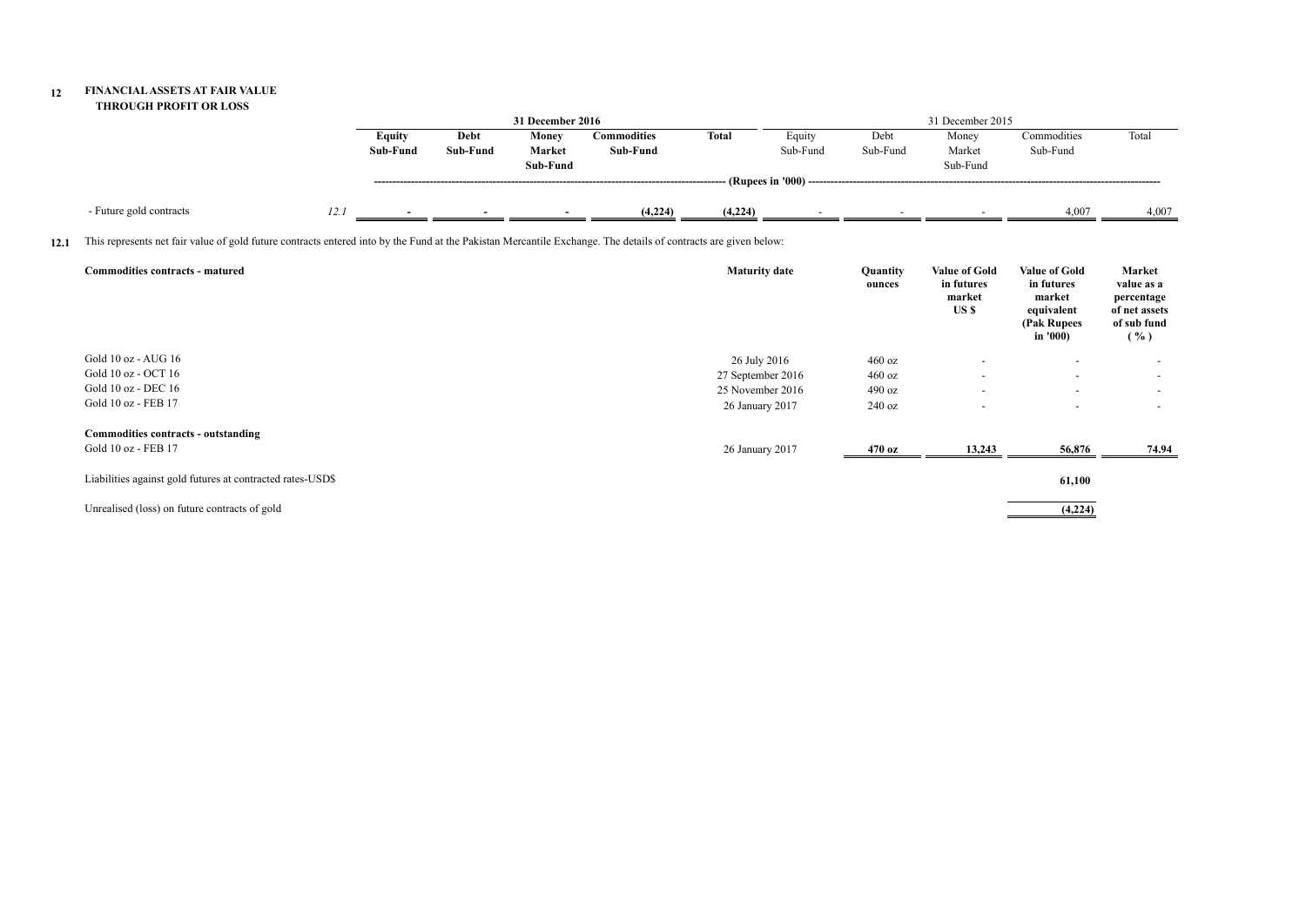#### **12 FINANCIAL ASSETS AT FAIR VALUE THROUGH PROFIT OR LOSS**

|      |                                                                                                                                                                 |      |                           |                  | 31 December 2016            |                                |                      |                                        |                    | 31 December 2015                                      |                                                                                       |                                                                                       |
|------|-----------------------------------------------------------------------------------------------------------------------------------------------------------------|------|---------------------------|------------------|-----------------------------|--------------------------------|----------------------|----------------------------------------|--------------------|-------------------------------------------------------|---------------------------------------------------------------------------------------|---------------------------------------------------------------------------------------|
|      |                                                                                                                                                                 |      | <b>Equity</b><br>Sub-Fund | Debt<br>Sub-Fund | Money<br>Market<br>Sub-Fund | <b>Commodities</b><br>Sub-Fund | Total                | Equity<br>Sub-Fund                     | Debt<br>Sub-Fund   | Money<br>Market<br>Sub-Fund                           | Commodities<br>Sub-Fund                                                               | Total                                                                                 |
|      |                                                                                                                                                                 |      |                           |                  |                             |                                |                      | -- (Rupees in '000) ------------------ |                    |                                                       |                                                                                       |                                                                                       |
|      | - Future gold contracts                                                                                                                                         | 12.1 |                           |                  |                             | (4,224)                        | (4,224)              |                                        |                    |                                                       | 4,007                                                                                 | 4,007                                                                                 |
| 12.1 | This represents net fair value of gold future contracts entered into by the Fund at the Pakistan Mercantile Exchange. The details of contracts are given below: |      |                           |                  |                             |                                |                      |                                        |                    |                                                       |                                                                                       |                                                                                       |
|      | Commodities contracts - matured                                                                                                                                 |      |                           |                  |                             |                                | <b>Maturity date</b> |                                        | Quantity<br>ounces | <b>Value of Gold</b><br>in futures<br>market<br>US \$ | <b>Value of Gold</b><br>in futures<br>market<br>equivalent<br>(Pak Rupees<br>in '000) | <b>Market</b><br>value as a<br>percentage<br>of net assets<br>of sub fund<br>$( \% )$ |
|      | Gold 10 oz - AUG 16                                                                                                                                             |      |                           |                  |                             |                                | 26 July 2016         |                                        | 460 oz             |                                                       |                                                                                       |                                                                                       |
|      | Gold 10 oz - OCT 16                                                                                                                                             |      |                           |                  |                             |                                | 27 September 2016    |                                        | 460 oz             |                                                       | $\overline{\phantom{a}}$                                                              | $\overline{\phantom{a}}$                                                              |
|      | Gold 10 oz - DEC 16                                                                                                                                             |      |                           |                  |                             |                                | 25 November 2016     |                                        | 490 oz             |                                                       | $\overline{\phantom{a}}$                                                              | $\sim$                                                                                |
|      | Gold 10 oz - FEB 17                                                                                                                                             |      |                           |                  |                             |                                | 26 January 2017      |                                        | 240 oz             |                                                       |                                                                                       | $\overline{\phantom{a}}$                                                              |
|      | Commodities contracts - outstanding                                                                                                                             |      |                           |                  |                             |                                |                      |                                        |                    |                                                       |                                                                                       |                                                                                       |
|      | Gold 10 oz - FEB 17                                                                                                                                             |      |                           |                  |                             |                                | 26 January 2017      |                                        | 470 oz             | 13,243                                                | 56,876                                                                                | 74.94                                                                                 |
|      | Liabilities against gold futures at contracted rates-USD\$                                                                                                      |      |                           |                  |                             |                                |                      |                                        |                    |                                                       | 61,100                                                                                |                                                                                       |
|      | Unrealised (loss) on future contracts of gold                                                                                                                   |      |                           |                  |                             |                                |                      |                                        |                    |                                                       | (4,224)                                                                               |                                                                                       |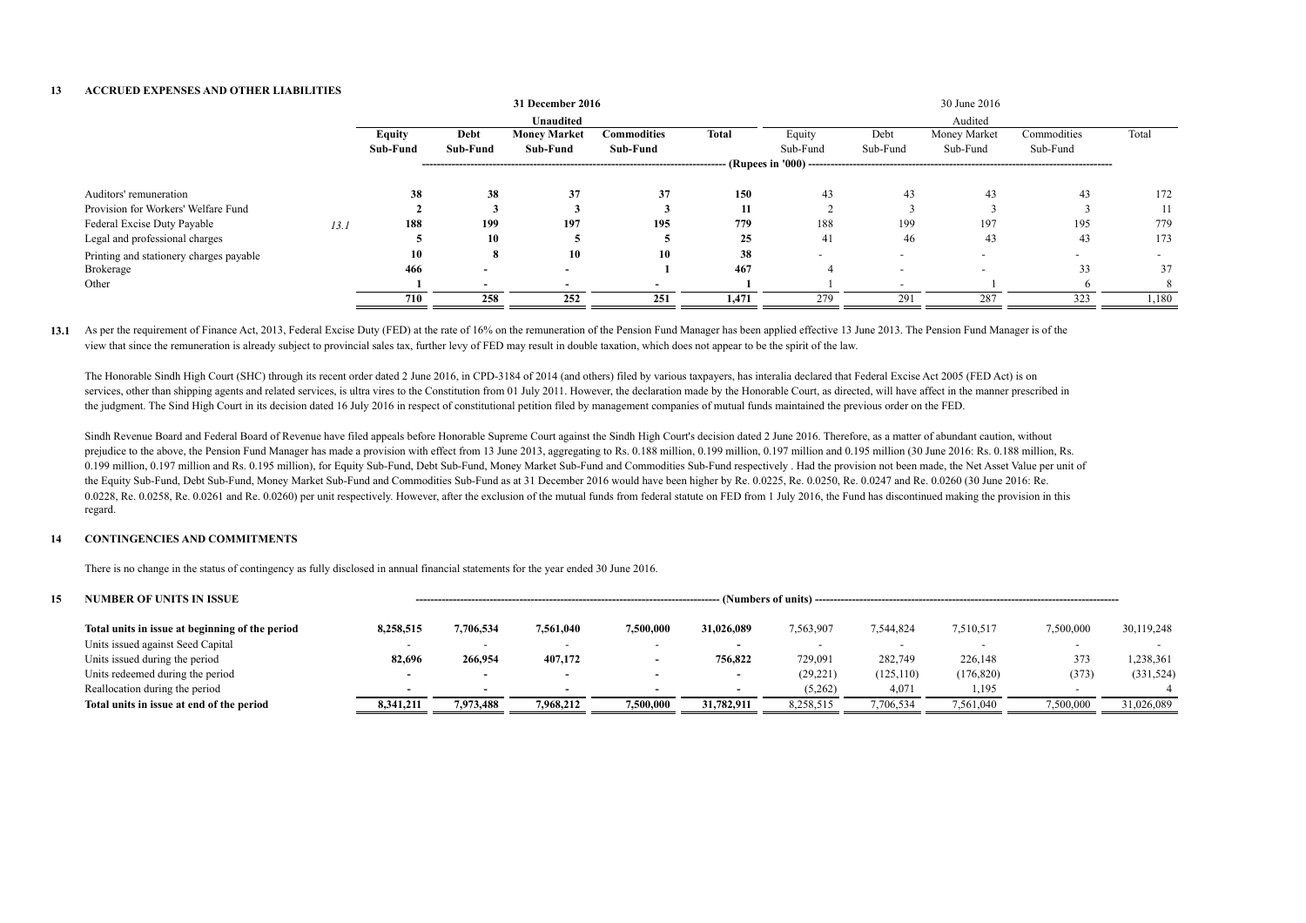#### **13 ACCRUED EXPENSES AND OTHER LIABILITIES**

|               |                          |                     |                    |                  |          |                          | 30 June 2016 |             |       |
|---------------|--------------------------|---------------------|--------------------|------------------|----------|--------------------------|--------------|-------------|-------|
|               |                          | <b>Unaudited</b>    |                    |                  |          |                          | Audited      |             |       |
| <b>Equity</b> | Debt                     | <b>Money Market</b> | <b>Commodities</b> | Total            | Equity   | Debt                     | Money Market | Commodities | Total |
| Sub-Fund      | Sub-Fund                 | Sub-Fund            | Sub-Fund           |                  | Sub-Fund | Sub-Fund                 | Sub-Fund     | Sub-Fund    |       |
|               |                          |                     |                    |                  |          |                          |              |             |       |
| 38            | 38                       | 37                  | 37                 | 150              | 43       | 43                       | 43           | 43          | 172   |
|               |                          |                     |                    | 11               |          |                          |              |             | 11    |
| 188           | 199                      | 197                 | 195                | 779              | 188      | 199                      | 197          | 195         | 779   |
|               | 10                       |                     |                    | 25               | 41       | 46                       | 43           | 43          | 173   |
| 10            |                          | 10                  | 10                 | 38               |          |                          |              |             |       |
| 466           | $\overline{\phantom{0}}$ |                     |                    | 467              |          |                          |              | 33          | 37    |
|               | $\overline{\phantom{0}}$ |                     |                    |                  |          |                          |              |             |       |
| 710           | 258                      | 252                 | 251                | 1,471            | 279      | 291                      | 287          | 323         | 1,180 |
|               |                          |                     |                    | 31 December 2016 |          | $\cdot$ (Rupees in '000) |              |             |       |

13.1 As per the requirement of Finance Act, 2013, Federal Excise Duty (FED) at the rate of 16% on the remuneration of the Pension Fund Manager has been applied effective 13 June 2013. The Pension Fund Manager is of the view that since the remuneration is already subject to provincial sales tax, further levy of FED may result in double taxation, which does not appear to be the spirit of the law.

The Honorable Sindh High Court (SHC) through its recent order dated 2 June 2016, in CPD-3184 of 2014 (and others) filed by various taxpayers, has interalia declared that Federal Excise Act 2005 (FED Act) is on services, other than shipping agents and related services, is ultra vires to the Constitution from 01 July 2011. However, the declaration made by the Honorable Court, as directed, will have affect in the manner prescribed the judgment. The Sind High Court in its decision dated 16 July 2016 in respect of constitutional petition filed by management companies of mutual funds maintained the previous order on the FED.

Sindh Revenue Board and Federal Board of Revenue have filed appeals before Honorable Supreme Court against the Sindh High Court's decision dated 2 June 2016. Therefore, as a matter of abundant caution, without prejudice to the above, the Pension Fund Manager has made a provision with effect from 13 June 2013, aggregating to Rs. 0.188 million, 0.199 million, 0.197 million, 0.197 million and 0.195 million (30 June 2016: Rs. 0.188 0.199 million, 0.197 million and Rs. 0.195 million), for Equity Sub-Fund, Debt Sub-Fund, Money Market Sub-Fund and Commodities Sub-Fund respectively. Had the provision not been made, the Net Asset Value per unit of the Equity Sub-Fund, Debt Sub-Fund, Money Market Sub-Fund and Commodities Sub-Fund as at 31 December 2016 would have been higher by Re. 0.0225, Re. 0.0250, Re. 0.0247 and Re. 0.0260 (30 June 2016: Re. 0.0228, Re. 0.0258, Re. 0.0261 and Re. 0.0260) per unit respectively. However, after the exclusion of the mutual funds from federal statute on FED from 1 July 2016, the Fund has discontinued making the provision in this regard.

#### **14 CONTINGENCIES AND COMMITMENTS**

There is no change in the status of contingency as fully disclosed in annual financial statements for the year ended 30 June 2016.

| 15 | <b>NUMBER OF UNITS IN ISSUE</b>                 | (Numbers of units). |                          |                          |           |                          |           |            |                          |           |            |  |  |
|----|-------------------------------------------------|---------------------|--------------------------|--------------------------|-----------|--------------------------|-----------|------------|--------------------------|-----------|------------|--|--|
|    | Total units in issue at beginning of the period | 8,258,515           | 7,706,534                | 7,561,040                | 7,500,000 | 31,026,089               | 7,563,907 | 7,544,824  | 7,510,517                | 1,500,000 | 30,119,248 |  |  |
|    | Units issued against Seed Capital               |                     | $\overline{\phantom{a}}$ |                          |           |                          |           |            | $\overline{\phantom{a}}$ |           |            |  |  |
|    | Units issued during the period                  | 82,696              | 266,954                  | 407,172                  |           | 756,822                  | 729,091   | 282,749    | 226,148                  | 373       | 1,238,361  |  |  |
|    | Units redeemed during the period                |                     | $\overline{\phantom{0}}$ | $\overline{\phantom{a}}$ | . .       | $\overline{\phantom{a}}$ | (29, 221) | (125, 110) | (176, 820)               | (373)     | (331, 524) |  |  |
|    | Reallocation during the period                  |                     | $\overline{\phantom{0}}$ |                          |           |                          | (5,262)   | 4,071      | 1,195                    |           |            |  |  |
|    | Total units in issue at end of the period       | 8,341,211           | 7.973.488                | 7,968,212                | 7,500,000 | 31,782,911               | 8,258,515 | 7,706,534  | 7,561,040                | 1,500,000 | 31,026,089 |  |  |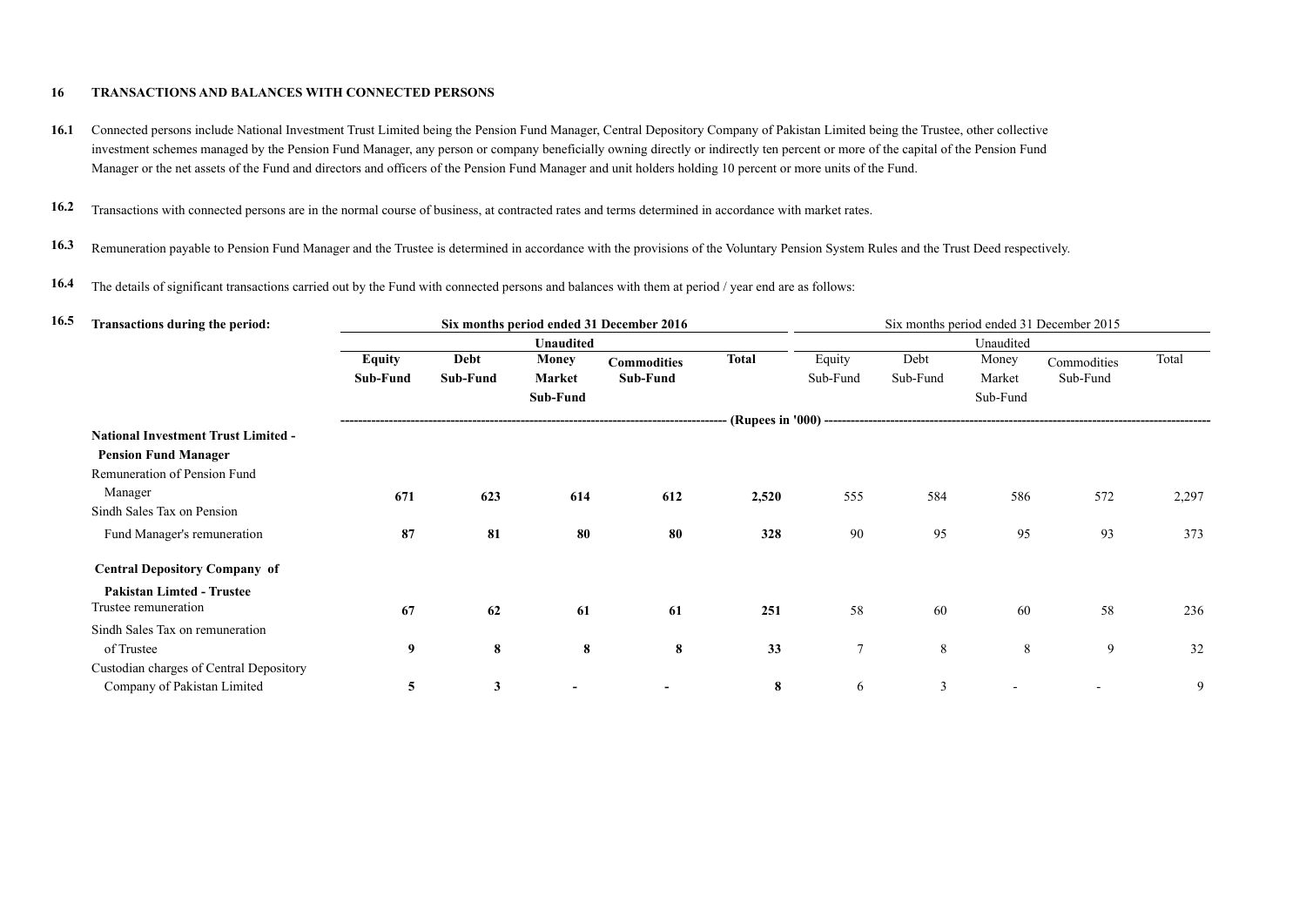### **16 TRANSACTIONS AND BALANCES WITH CONNECTED PERSONS**

- 16.1 Connected persons include National Investment Trust Limited being the Pension Fund Manager, Central Depository Company of Pakistan Limited being the Trustee, other collective investment schemes managed by the Pension Fund Manager, any person or company beneficially owning directly or indirectly ten percent or more of the capital of the Pension Fund Manager or the net assets of the Fund and directors and officers of the Pension Fund Manager and unit holders holding 10 percent or more units of the Fund.
- **16.2** Transactions with connected persons are in the normal course of business, at contracted rates and terms determined in accordance with market rates.
- 16.3 Remuneration payable to Pension Fund Manager and the Trustee is determined in accordance with the provisions of the Voluntary Pension System Rules and the Trust Deed respectively.
- **16.4** The details of significant transactions carried out by the Fund with connected persons and balances with them at period / year end are as follows:

| 16.5 | <b>Transactions during the period:</b>     |               |              |               | Six months period ended 31 December 2016 |              |                |          |           | Six months period ended 31 December 2015 |       |
|------|--------------------------------------------|---------------|--------------|---------------|------------------------------------------|--------------|----------------|----------|-----------|------------------------------------------|-------|
|      |                                            |               |              | Unaudited     |                                          |              |                |          | Unaudited |                                          |       |
|      |                                            | <b>Equity</b> | Debt         | <b>Money</b>  | <b>Commodities</b>                       | <b>Total</b> | Equity         | Debt     | Money     | Commodities                              | Total |
|      |                                            | Sub-Fund      | Sub-Fund     | <b>Market</b> | Sub-Fund                                 |              | Sub-Fund       | Sub-Fund | Market    | Sub-Fund                                 |       |
|      |                                            |               |              | Sub-Fund      |                                          |              |                |          | Sub-Fund  |                                          |       |
|      |                                            |               |              |               |                                          |              |                |          |           |                                          |       |
|      | <b>National Investment Trust Limited -</b> |               |              |               |                                          |              |                |          |           |                                          |       |
|      | <b>Pension Fund Manager</b>                |               |              |               |                                          |              |                |          |           |                                          |       |
|      | Remuneration of Pension Fund               |               |              |               |                                          |              |                |          |           |                                          |       |
|      | Manager                                    | 671           | 623          | 614           | 612                                      | 2,520        | 555            | 584      | 586       | 572                                      | 2,297 |
|      | Sindh Sales Tax on Pension                 |               |              |               |                                          |              |                |          |           |                                          |       |
|      | Fund Manager's remuneration                | 87            | 81           | 80            | 80                                       | 328          | 90             | 95       | 95        | 93                                       | 373   |
|      | <b>Central Depository Company of</b>       |               |              |               |                                          |              |                |          |           |                                          |       |
|      | <b>Pakistan Limted - Trustee</b>           |               |              |               |                                          |              |                |          |           |                                          |       |
|      | Trustee remuneration                       | 67            | 62           | 61            | 61                                       | 251          | 58             | 60       | 60        | 58                                       | 236   |
|      | Sindh Sales Tax on remuneration            |               |              |               |                                          |              |                |          |           |                                          |       |
|      | of Trustee                                 | 9             | 8            | 8             | 8                                        | 33           | $\overline{7}$ | 8        | 8         | 9                                        | 32    |
|      | Custodian charges of Central Depository    |               |              |               |                                          |              |                |          |           |                                          |       |
|      | Company of Pakistan Limited                | 5             | $\mathbf{3}$ |               |                                          | 8            | 6              | 3        |           |                                          | 9     |
|      |                                            |               |              |               |                                          |              |                |          |           |                                          |       |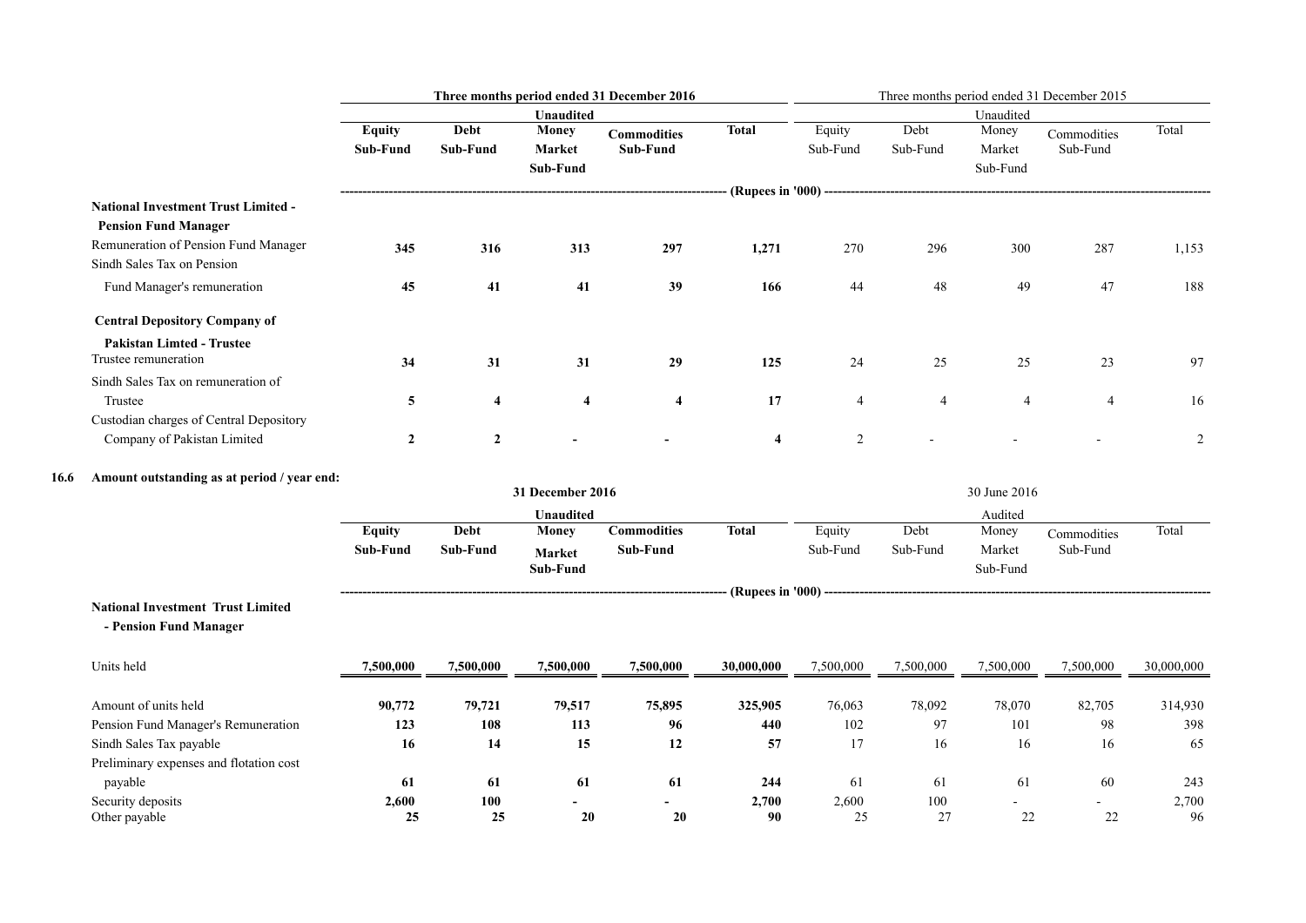|      |                                                                    |                |                  |                         | Three months period ended 31 December 2016 |                         |                |                |                    | Three months period ended 31 December 2015 |             |
|------|--------------------------------------------------------------------|----------------|------------------|-------------------------|--------------------------------------------|-------------------------|----------------|----------------|--------------------|--------------------------------------------|-------------|
|      |                                                                    |                |                  | Unaudited               |                                            |                         |                |                | Unaudited          |                                            |             |
|      |                                                                    | <b>Equity</b>  | <b>Debt</b>      | <b>Money</b>            | <b>Commodities</b>                         | <b>Total</b>            | Equity         | Debt           | Money              | Commodities                                | Total       |
|      |                                                                    | Sub-Fund       | Sub-Fund         | <b>Market</b>           | Sub-Fund                                   |                         | Sub-Fund       | Sub-Fund       | Market             | Sub-Fund                                   |             |
|      |                                                                    |                |                  | Sub-Fund                |                                            |                         |                |                | Sub-Fund           |                                            |             |
|      | <b>National Investment Trust Limited -</b>                         |                |                  |                         |                                            |                         |                |                |                    |                                            |             |
|      | <b>Pension Fund Manager</b>                                        |                |                  |                         |                                            |                         |                |                |                    |                                            |             |
|      | Remuneration of Pension Fund Manager<br>Sindh Sales Tax on Pension | 345            | 316              | 313                     | 297                                        | 1,271                   | 270            | 296            | 300                | 287                                        | 1,153       |
|      | Fund Manager's remuneration                                        | 45             | 41               | 41                      | 39                                         | 166                     | 44             | 48             | 49                 | 47                                         | 188         |
|      | <b>Central Depository Company of</b>                               |                |                  |                         |                                            |                         |                |                |                    |                                            |             |
|      | <b>Pakistan Limted - Trustee</b><br>Trustee remuneration           | 34             | 31               | 31                      | 29                                         | 125                     | 24             | 25             | 25                 | 23                                         | 97          |
|      | Sindh Sales Tax on remuneration of                                 |                |                  |                         |                                            |                         |                |                |                    |                                            |             |
|      | Trustee                                                            | 5              | $\boldsymbol{4}$ | $\overline{\mathbf{4}}$ | $\overline{4}$                             | 17                      | $\overline{4}$ | $\overline{4}$ | $\overline{4}$     | $\overline{4}$                             | 16          |
|      | Custodian charges of Central Depository                            |                |                  |                         |                                            |                         |                |                |                    |                                            |             |
|      | Company of Pakistan Limited                                        | $\overline{2}$ | $\overline{2}$   |                         |                                            | $\overline{\mathbf{4}}$ | $\overline{2}$ |                |                    |                                            | 2           |
| 16.6 | Amount outstanding as at period / year end:                        |                |                  |                         |                                            |                         |                |                |                    |                                            |             |
|      |                                                                    |                |                  | 31 December 2016        |                                            |                         |                |                | 30 June 2016       |                                            |             |
|      |                                                                    |                |                  | Unaudited               |                                            |                         |                |                | Audited            |                                            |             |
|      |                                                                    | <b>Equity</b>  | Debt             | <b>Money</b>            | <b>Commodities</b>                         | <b>Total</b>            | Equity         | Debt           | Money              | Commodities                                | Total       |
|      |                                                                    | Sub-Fund       | Sub-Fund         | Market<br>Sub-Fund      | Sub-Fund                                   |                         | Sub-Fund       | Sub-Fund       | Market<br>Sub-Fund | Sub-Fund                                   |             |
|      |                                                                    |                |                  |                         |                                            |                         |                |                |                    |                                            |             |
|      | <b>National Investment Trust Limited</b>                           |                |                  |                         |                                            |                         |                |                |                    |                                            |             |
|      | - Pension Fund Manager                                             |                |                  |                         |                                            |                         |                |                |                    |                                            |             |
|      | Units held                                                         | 7,500,000      | 7,500,000        | 7,500,000               | 7,500,000                                  | 30,000,000              | 7,500,000      | 7,500,000      | 7,500,000          | 7,500,000                                  | 30,000,000  |
|      | Amount of units held                                               | 90,772         | 79,721           | 79,517                  | 75,895                                     | 325,905                 | 76,063         | 78,092         | 78,070             | 82,705                                     | 314,930     |
|      | Pension Fund Manager's Remuneration                                | 123            | 108              | 113                     | 96                                         | 440                     | 102            | 97             | 101                | 98                                         | 398         |
|      | Sindh Sales Tax payable                                            | 16             | 14               | 15                      | 12                                         | 57                      | 17             | 16             | 16                 | 16                                         | 65          |
|      | Preliminary expenses and flotation cost                            |                |                  |                         |                                            |                         |                |                |                    |                                            |             |
|      | payable                                                            | 61             | 61               | 61                      | 61                                         | 244                     | 61             | 61             | 61                 | 60                                         | 243         |
|      | Security deposits<br>Other payable                                 | 2,600<br>25    | 100<br>25        | 20                      | 20                                         | 2,700<br>90             | 2,600<br>25    | $100\,$<br>27  | $22\,$             | 22                                         | 2,700<br>96 |
|      |                                                                    |                |                  |                         |                                            |                         |                |                |                    |                                            |             |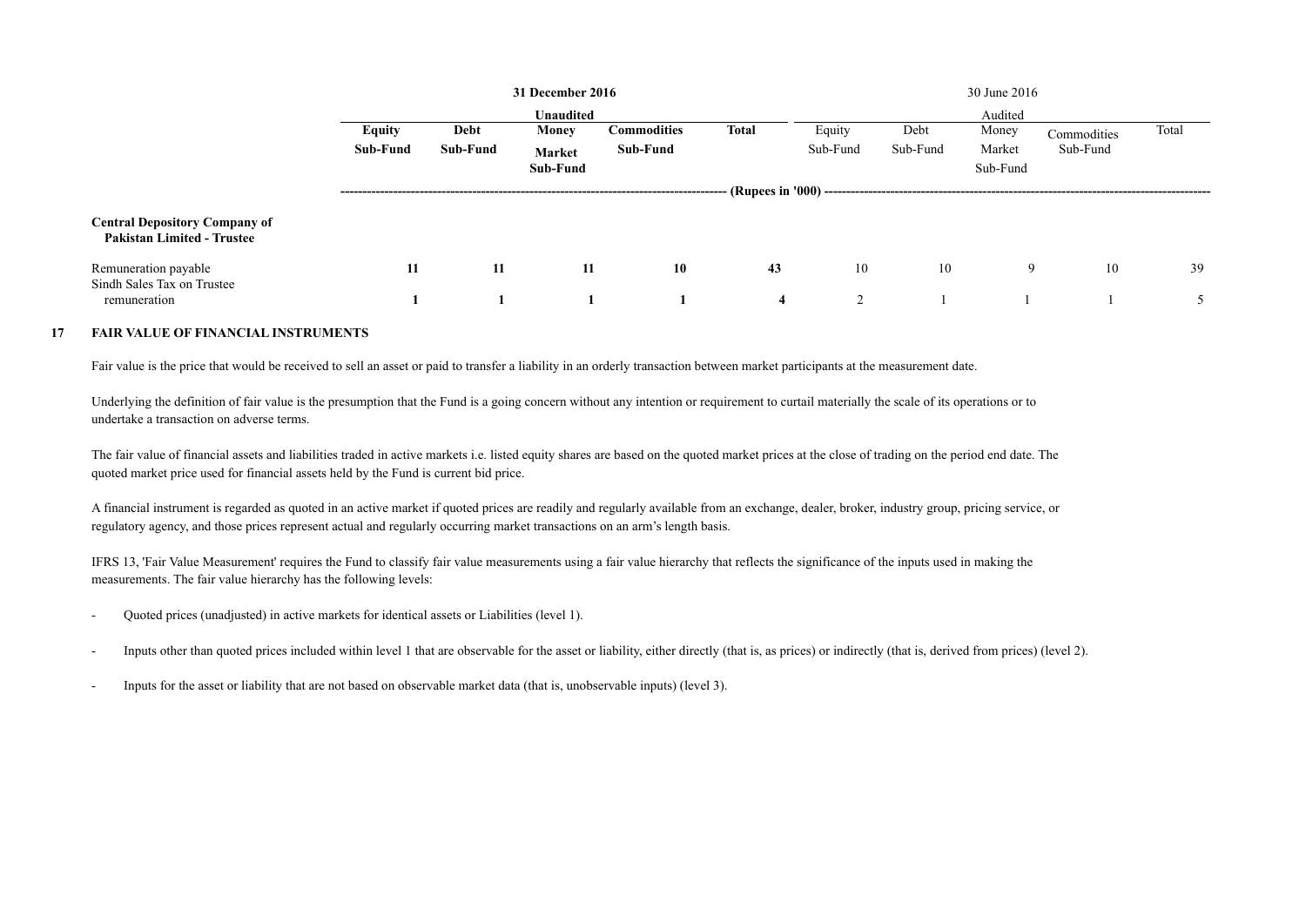|                                                                           |               |          | 31 December 2016 |                    |              | 30 June 2016  |          |          |             |       |
|---------------------------------------------------------------------------|---------------|----------|------------------|--------------------|--------------|---------------|----------|----------|-------------|-------|
|                                                                           |               |          | <b>Unaudited</b> |                    |              |               |          | Audited  |             |       |
|                                                                           | <b>Equity</b> | Debt     | Money            | <b>Commodities</b> | <b>Total</b> | Equity        | Debt     | Money    | Commodities | Total |
|                                                                           | Sub-Fund      | Sub-Fund | Market           | Sub-Fund           |              | Sub-Fund      | Sub-Fund | Market   | Sub-Fund    |       |
|                                                                           |               |          | Sub-Fund         |                    |              |               |          | Sub-Fund |             |       |
|                                                                           |               |          |                  |                    |              |               |          |          |             |       |
| <b>Central Depository Company of</b><br><b>Pakistan Limited - Trustee</b> |               |          |                  |                    |              |               |          |          |             |       |
| Remuneration payable<br>Sindh Sales Tax on Trustee                        | 11            | 11       | 11               | 10                 | 43           | 10            | 10       | 9        | 10          | 39    |
| remuneration                                                              |               |          |                  |                    | 4            | $\mathcal{D}$ |          |          |             |       |

#### **17 FAIR VALUE OF FINANCIAL INSTRUMENTS**

Fair value is the price that would be received to sell an asset or paid to transfer a liability in an orderly transaction between market participants at the measurement date.

Underlying the definition of fair value is the presumption that the Fund is a going concern without any intention or requirement to curtail materially the scale of its operations or to undertake a transaction on adverse terms.

The fair value of financial assets and liabilities traded in active markets i.e. listed equity shares are based on the quoted market prices at the close of trading on the period end date. The quoted market price used for financial assets held by the Fund is current bid price.

A financial instrument is regarded as quoted in an active market if quoted prices are readily and regularly available from an exchange, dealer, broker, industry group, pricing service, or regulatory agency, and those prices represent actual and regularly occurring market transactions on an arm's length basis.

IFRS 13, 'Fair Value Measurement' requires the Fund to classify fair value measurements using a fair value hierarchy that reflects the significance of the inputs used in making the measurements. The fair value hierarchy has the following levels:

- Quoted prices (unadjusted) in active markets for identical assets or Liabilities (level 1).
- Inputs other than quoted prices included within level 1 that are observable for the asset or liability, either directly (that is, as prices) or indirectly (that is, derived from prices) (level 2).
- Inputs for the asset or liability that are not based on observable market data (that is, unobservable inputs) (level 3).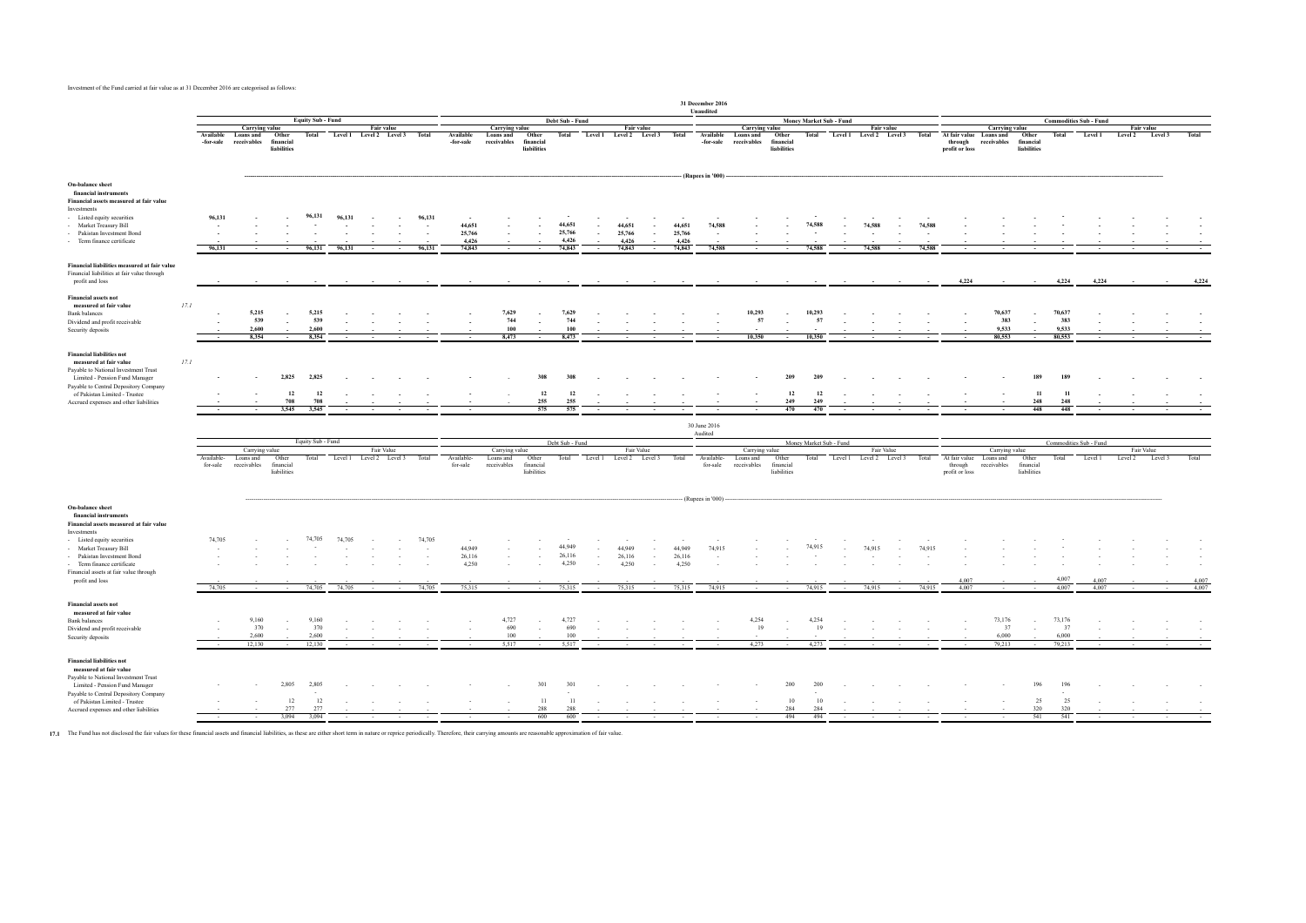Investment of the Fund carried at fair value as at 31 December 2016 are categorised as follows:

|                                                                                                                 |                                              |                                            |                                   |                                 |        |                                              |        |                  |                                     |                                                   |                                   |                                     |                  |                                       |                                   |                                                    | 31 December 2016<br>Unaudited |                                                   |                                   |                            |        |                                              |        |                                      |                               |                                                                 |                                   |                                 |                |                 |                   |                |
|-----------------------------------------------------------------------------------------------------------------|----------------------------------------------|--------------------------------------------|-----------------------------------|---------------------------------|--------|----------------------------------------------|--------|------------------|-------------------------------------|---------------------------------------------------|-----------------------------------|-------------------------------------|------------------|---------------------------------------|-----------------------------------|----------------------------------------------------|-------------------------------|---------------------------------------------------|-----------------------------------|----------------------------|--------|----------------------------------------------|--------|--------------------------------------|-------------------------------|-----------------------------------------------------------------|-----------------------------------|---------------------------------|----------------|-----------------|-------------------|----------------|
|                                                                                                                 | <b>Equity Sub - Fund</b>                     |                                            |                                   |                                 |        |                                              |        |                  | Debt Sub - Fund                     |                                                   |                                   |                                     |                  |                                       |                                   |                                                    | Money Market Sub - Fund       |                                                   |                                   |                            |        |                                              |        |                                      | <b>Commodities Sub - Fund</b> |                                                                 |                                   |                                 |                |                 |                   |                |
|                                                                                                                 | Available<br>-for-sale                       | Carrying value<br>Loans and<br>receivables | Other<br>financial<br>liabilities | Total                           |        | <b>Fair value</b><br>Level 1 Level 2 Level 3 |        | Total            | Available<br>-for-sale              | <b>Carrying value</b><br>Loans and<br>receivables | Other<br>financial<br>liabilities | Total                               |                  | Fair value<br>Level 1 Level 2 Level 3 |                                   | Total                                              | Available<br>-for-sale        | <b>Carrying</b> value<br>Loans and<br>receivables | Other<br>financial<br>liabilities | Total                      |        | <b>Fair value</b><br>Level 1 Level 2 Level 3 |        | Total                                | through<br>profit or loss     | <b>Carrying value</b><br>At fair value Loans and<br>receivables | Other<br>financial<br>liabilities | Total                           | Level 1        | Level 2 Level 3 | <b>Fair value</b> | Total          |
| On-balance sheet                                                                                                |                                              |                                            |                                   |                                 |        |                                              |        |                  |                                     |                                                   |                                   |                                     |                  |                                       |                                   |                                                    | - (Rupees in '000) -          |                                                   |                                   |                            |        |                                              |        |                                      |                               |                                                                 |                                   |                                 |                |                 |                   |                |
| financial instruments<br>Financial assets measured at fair value<br>Investments<br>- Listed equity securities   | 96,131                                       |                                            |                                   | 96,131                          | 96,131 |                                              | $\sim$ | 96,131           |                                     |                                                   |                                   |                                     |                  |                                       |                                   |                                                    |                               |                                                   |                                   |                            |        |                                              |        |                                      |                               |                                                                 |                                   |                                 |                |                 |                   |                |
| - Market Treasury Bill<br>- Pakistan Investment Bond<br>- Term finance certificate                              | $\overline{\phantom{a}}$<br>$\sim$<br>96,131 |                                            | $\sim$                            | 96.131                          | 96.131 | $\sim$                                       | $\sim$ | $\sim$<br>96,131 | 44,651<br>25,766<br>4,426<br>74,843 |                                                   |                                   | 44,651<br>25,766<br>4,426<br>74,843 | $\sim$<br>$\sim$ | 44,651<br>25,766<br>4,426<br>74,843   | $\sim$<br>$\sim$<br>$\sim$ $\sim$ | 44,651<br>25,766<br>4,426<br>74,843                | 74,588<br>$\sim$<br>74,588    |                                                   | $\sim$                            | 74,588<br>$\sim$<br>74,588 | $\sim$ | 74,588<br>74,588                             | $\sim$ | 74,588<br>74,588                     |                               |                                                                 |                                   |                                 |                |                 |                   |                |
| Financial liabilities measured at fair value<br>Financial liabilities at fair value through<br>profit and loss  |                                              |                                            |                                   |                                 |        |                                              |        |                  |                                     |                                                   |                                   |                                     |                  |                                       |                                   |                                                    |                               |                                                   |                                   |                            |        |                                              |        |                                      | 4,224                         |                                                                 |                                   | 4,224                           | 4.224          |                 |                   | 4,224          |
| <b>Financial assets not</b><br>17.1<br>measured at fair value                                                   |                                              | 5,215                                      |                                   | 5,215                           |        |                                              |        |                  |                                     | 7,629                                             |                                   | 7,629                               |                  |                                       |                                   |                                                    |                               | 10,293                                            |                                   | 10,293                     |        |                                              |        |                                      |                               | 70,637                                                          |                                   | 70,637                          |                |                 |                   |                |
| Bank balances<br>Dividend and profit receivable<br>Security deposits                                            |                                              | 539<br>2,600<br>8,354                      | - 21                              | 539<br>2,600<br>8,354           |        |                                              |        |                  |                                     | 744<br>100<br>8,473                               | $\sim$                            | 744<br>100<br>8,473                 |                  |                                       |                                   |                                                    |                               | 57<br>10,350                                      | $\sim$                            | 57<br>10,350               |        |                                              |        |                                      |                               | 383<br>9,533<br>80,553                                          | $\sim$<br>$\sim$<br>$\sim$        | 383<br>9,533<br>80,553          |                |                 |                   |                |
| <b>Financial liabilities not</b><br>measured at fair value<br>17.1<br>Payable to National Investment Trust      |                                              |                                            |                                   |                                 |        |                                              |        |                  |                                     |                                                   |                                   |                                     |                  |                                       |                                   |                                                    |                               |                                                   |                                   |                            |        |                                              |        |                                      |                               |                                                                 |                                   |                                 |                |                 |                   |                |
| Limited - Pension Fund Manager<br>Payable to Central Depository Company<br>of Pakistan Limited - Trustee        |                                              |                                            | 2,825<br>12                       | 2,825<br>12                     |        |                                              |        |                  |                                     |                                                   | 308<br>12                         | 308<br>12                           |                  |                                       |                                   |                                                    |                               |                                                   | 209<br>12                         | 209<br>12                  |        |                                              |        |                                      |                               |                                                                 | 189<br>11                         | 189<br>11                       |                |                 |                   |                |
| Accrued expenses and other liabilities                                                                          |                                              |                                            | 708<br>3,545                      | 708<br>3,545                    |        |                                              |        |                  |                                     |                                                   | 255<br>575                        | 255<br>575                          |                  |                                       |                                   |                                                    |                               |                                                   | 249<br>470                        | 249<br>470                 |        |                                              |        |                                      |                               |                                                                 | 248<br>448                        | 248<br>448                      |                |                 |                   |                |
|                                                                                                                 |                                              | Equity Sub - Fund                          |                                   |                                 |        |                                              |        |                  | Debt Sub - Fund                     |                                                   |                                   |                                     |                  |                                       |                                   | 30 June 2016<br>Audited<br>Money Market Sub - Fund |                               |                                                   |                                   |                            |        |                                              |        | Commodities Sub - Fund<br>Fair Value |                               |                                                                 |                                   |                                 |                |                 |                   |                |
|                                                                                                                 | Available-<br>for-sale                       | Carrying value<br>Loans and<br>receivables | Other<br>financial<br>liabilities | Total                           |        | Fair Value<br>Level 1 Level 2 Level 3        |        | Total            | Available-<br>for-sale              | Carrying value<br>Loans and<br>receivables        | Other<br>financial<br>liabilities | Total                               |                  | Fair Value<br>Level 1 Level 2 Level 3 |                                   | Total                                              | Available-<br>for-sale        | Carrying value<br>Loans and<br>receivables        | Other<br>financial<br>liabilities | Total                      |        | Fair Value<br>Level 1 Level 2 Level 3        |        | Total                                | through<br>profit or loss     | Carrying value<br>At fair value Loans and<br>receivables        | Other<br>financial<br>liabilities | Total                           | Level 1        | Level 2 Level 3 |                   | Total          |
|                                                                                                                 |                                              |                                            |                                   |                                 |        |                                              |        |                  |                                     |                                                   |                                   |                                     |                  |                                       |                                   |                                                    | - (Rupees in '000) -          |                                                   |                                   |                            |        |                                              |        |                                      |                               |                                                                 |                                   |                                 |                |                 |                   |                |
| On-balance sheet<br>financial instruments<br>Financial assets measured at fair value<br>Investments             |                                              |                                            |                                   |                                 |        |                                              |        |                  |                                     |                                                   |                                   |                                     |                  |                                       |                                   |                                                    |                               |                                                   |                                   |                            |        |                                              |        |                                      |                               |                                                                 |                                   |                                 |                |                 |                   |                |
| - Listed equity securities<br>- Market Treasury Bill<br>- Pakistan Investment Bond                              | 74,705                                       |                                            |                                   | 74.705                          | 74 705 |                                              |        | 74,705           | 44,949<br>26,116                    |                                                   |                                   | 44,949<br>26,116                    | $\sim$           | 44,949<br>26,116                      | $\sim$                            | 44,949<br>26,116                                   | 74,915                        |                                                   |                                   | 74,915<br>$\sim$           |        | 74,915                                       |        | 74,915                               |                               |                                                                 |                                   |                                 |                |                 |                   |                |
| - Term finance certificate<br>Financial assets at fair value through<br>profit and loss                         | 74,705                                       |                                            |                                   | 74,705                          | 74,705 |                                              | $\sim$ | 74,705           | 4,250<br>75,315                     |                                                   |                                   | 4,250<br>75,315                     |                  | 4,250<br>75,315                       |                                   | 4,250<br>75,315                                    | 74,915                        |                                                   |                                   | 74,915                     |        | 74,915                                       |        | 74,915                               | 4 0 0 7<br>4,007              |                                                                 |                                   | 4.007<br>4,007                  | 4.007<br>4,007 |                 |                   | 4,007<br>4,007 |
| <b>Financial assets not</b><br>measured at fair value                                                           |                                              |                                            |                                   |                                 |        |                                              |        |                  |                                     |                                                   |                                   |                                     |                  |                                       |                                   |                                                    |                               |                                                   |                                   |                            |        |                                              |        |                                      |                               |                                                                 |                                   |                                 |                |                 |                   |                |
| Bank balances<br>Dividend and profit receivable<br>Security deposits                                            |                                              | 9,160<br>370<br>2.600<br>12,130            | $\sim$<br>$\sim$                  | 9.160<br>370<br>2.600<br>12,130 |        |                                              |        |                  |                                     | 4,727<br>690<br>100<br>5,517                      | $\sim$<br>$\sim$<br>$\sim$        | 4,727<br>690<br>100<br>5,517        |                  |                                       |                                   |                                                    |                               | 4,254<br>19<br>4,273                              | $\sim$<br>$\sim$<br>$\sim$        | 4,254<br>19<br>4,273       |        |                                              |        |                                      |                               | 73,176<br>37<br>6.000<br>79,213                                 | $\sim$<br>$\sim$<br>$\sim$        | 73,176<br>37<br>6.000<br>79,213 |                |                 |                   |                |
| <b>Financial liabilities not</b><br>measured at fair value                                                      |                                              |                                            |                                   |                                 |        |                                              |        |                  |                                     |                                                   |                                   |                                     |                  |                                       |                                   |                                                    |                               |                                                   |                                   |                            |        |                                              |        |                                      |                               |                                                                 |                                   |                                 |                |                 |                   |                |
| Payable to National Investment Trust<br>Limited - Pension Fund Manager<br>Payable to Central Depository Company |                                              |                                            | 2,805                             | 2,805                           |        |                                              |        |                  |                                     |                                                   | 301                               | 301                                 |                  |                                       |                                   |                                                    |                               |                                                   | 200                               | 200                        |        |                                              |        |                                      |                               |                                                                 | 196                               | 196                             |                |                 |                   |                |
| of Pakistan Limited - Trustee<br>Accrued expenses and other liabilities                                         |                                              |                                            | 12<br>277<br>3.094                | 12<br>277<br>3.094              |        |                                              |        |                  |                                     |                                                   | $\mathbf{11}$<br>288<br>600       | 11<br>288<br>600                    |                  |                                       |                                   |                                                    |                               |                                                   | 10<br>284<br>AQA                  | 10<br>284<br>494           |        |                                              |        |                                      |                               |                                                                 | 25<br>320<br>5.41                 | 25<br>320<br>541                |                |                 |                   |                |

17.1 The Fund has not disclosed the fair values for these financial assets and financial liabilities, as these are either short term in nature or reprice periodically. Therefore, their carrying amounts are reasonable appro